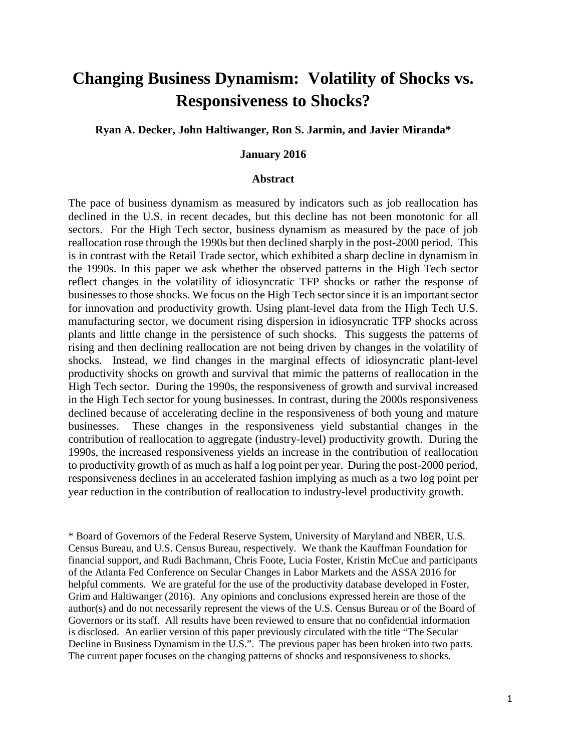# **Changing Business Dynamism: Volatility of Shocks vs. Responsiveness to Shocks?**

#### **Ryan A. Decker, John Haltiwanger, Ron S. Jarmin, and Javier Miranda\***

#### **January 2016**

#### **Abstract**

The pace of business dynamism as measured by indicators such as job reallocation has declined in the U.S. in recent decades, but this decline has not been monotonic for all sectors. For the High Tech sector, business dynamism as measured by the pace of job reallocation rose through the 1990s but then declined sharply in the post-2000 period. This is in contrast with the Retail Trade sector, which exhibited a sharp decline in dynamism in the 1990s. In this paper we ask whether the observed patterns in the High Tech sector reflect changes in the volatility of idiosyncratic TFP shocks or rather the response of businesses to those shocks. We focus on the High Tech sector since it is an important sector for innovation and productivity growth. Using plant-level data from the High Tech U.S. manufacturing sector, we document rising dispersion in idiosyncratic TFP shocks across plants and little change in the persistence of such shocks. This suggests the patterns of rising and then declining reallocation are not being driven by changes in the volatility of shocks. Instead, we find changes in the marginal effects of idiosyncratic plant-level productivity shocks on growth and survival that mimic the patterns of reallocation in the High Tech sector. During the 1990s, the responsiveness of growth and survival increased in the High Tech sector for young businesses. In contrast, during the 2000s responsiveness declined because of accelerating decline in the responsiveness of both young and mature businesses. These changes in the responsiveness yield substantial changes in the contribution of reallocation to aggregate (industry-level) productivity growth. During the 1990s, the increased responsiveness yields an increase in the contribution of reallocation to productivity growth of as much as half a log point per year. During the post-2000 period, responsiveness declines in an accelerated fashion implying as much as a two log point per year reduction in the contribution of reallocation to industry-level productivity growth.

\* Board of Governors of the Federal Reserve System, University of Maryland and NBER, U.S. Census Bureau, and U.S. Census Bureau, respectively. We thank the Kauffman Foundation for financial support, and Rudi Bachmann, Chris Foote, Lucia Foster, Kristin McCue and participants of the Atlanta Fed Conference on Secular Changes in Labor Markets and the ASSA 2016 for helpful comments. We are grateful for the use of the productivity database developed in Foster, Grim and Haltiwanger (2016). Any opinions and conclusions expressed herein are those of the author(s) and do not necessarily represent the views of the U.S. Census Bureau or of the Board of Governors or its staff. All results have been reviewed to ensure that no confidential information is disclosed. An earlier version of this paper previously circulated with the title "The Secular Decline in Business Dynamism in the U.S.". The previous paper has been broken into two parts. The current paper focuses on the changing patterns of shocks and responsiveness to shocks.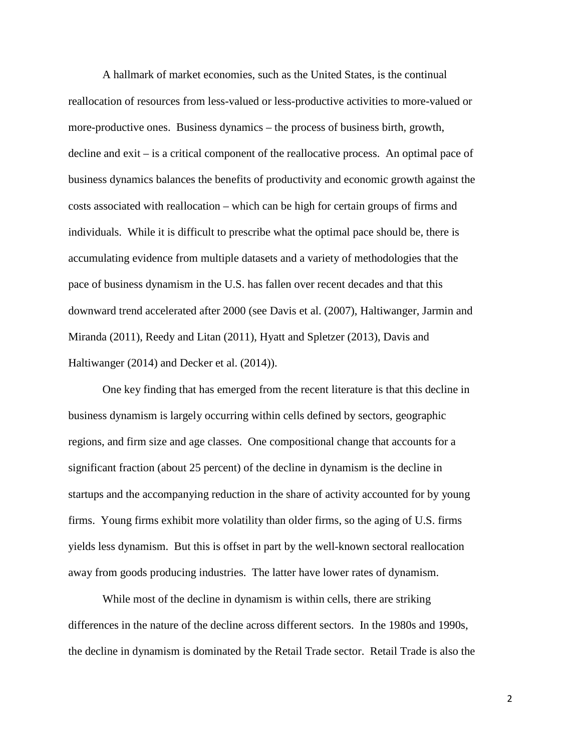A hallmark of market economies, such as the United States, is the continual reallocation of resources from less-valued or less-productive activities to more-valued or more-productive ones. Business dynamics – the process of business birth, growth, decline and exit – is a critical component of the reallocative process. An optimal pace of business dynamics balances the benefits of productivity and economic growth against the costs associated with reallocation – which can be high for certain groups of firms and individuals. While it is difficult to prescribe what the optimal pace should be, there is accumulating evidence from multiple datasets and a variety of methodologies that the pace of business dynamism in the U.S. has fallen over recent decades and that this downward trend accelerated after 2000 (see Davis et al. (2007), Haltiwanger, Jarmin and Miranda (2011), Reedy and Litan (2011), Hyatt and Spletzer (2013), Davis and Haltiwanger (2014) and Decker et al. (2014)).

One key finding that has emerged from the recent literature is that this decline in business dynamism is largely occurring within cells defined by sectors, geographic regions, and firm size and age classes. One compositional change that accounts for a significant fraction (about 25 percent) of the decline in dynamism is the decline in startups and the accompanying reduction in the share of activity accounted for by young firms. Young firms exhibit more volatility than older firms, so the aging of U.S. firms yields less dynamism. But this is offset in part by the well-known sectoral reallocation away from goods producing industries. The latter have lower rates of dynamism.

While most of the decline in dynamism is within cells, there are striking differences in the nature of the decline across different sectors. In the 1980s and 1990s, the decline in dynamism is dominated by the Retail Trade sector. Retail Trade is also the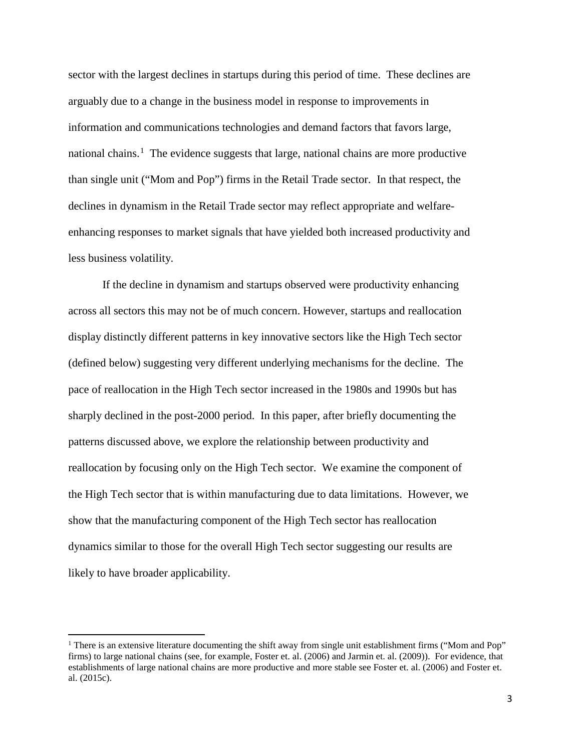sector with the largest declines in startups during this period of time. These declines are arguably due to a change in the business model in response to improvements in information and communications technologies and demand factors that favors large, national chains.<sup>[1](#page-2-0)</sup> The evidence suggests that large, national chains are more productive than single unit ("Mom and Pop") firms in the Retail Trade sector. In that respect, the declines in dynamism in the Retail Trade sector may reflect appropriate and welfareenhancing responses to market signals that have yielded both increased productivity and less business volatility.

If the decline in dynamism and startups observed were productivity enhancing across all sectors this may not be of much concern. However, startups and reallocation display distinctly different patterns in key innovative sectors like the High Tech sector (defined below) suggesting very different underlying mechanisms for the decline. The pace of reallocation in the High Tech sector increased in the 1980s and 1990s but has sharply declined in the post-2000 period. In this paper, after briefly documenting the patterns discussed above, we explore the relationship between productivity and reallocation by focusing only on the High Tech sector. We examine the component of the High Tech sector that is within manufacturing due to data limitations. However, we show that the manufacturing component of the High Tech sector has reallocation dynamics similar to those for the overall High Tech sector suggesting our results are likely to have broader applicability.

<span id="page-2-0"></span><sup>&</sup>lt;sup>1</sup> There is an extensive literature documenting the shift away from single unit establishment firms ("Mom and Pop" firms) to large national chains (see, for example, Foster et. al. (2006) and Jarmin et. al. (2009)). For evidence, that establishments of large national chains are more productive and more stable see Foster et. al. (2006) and Foster et. al. (2015c).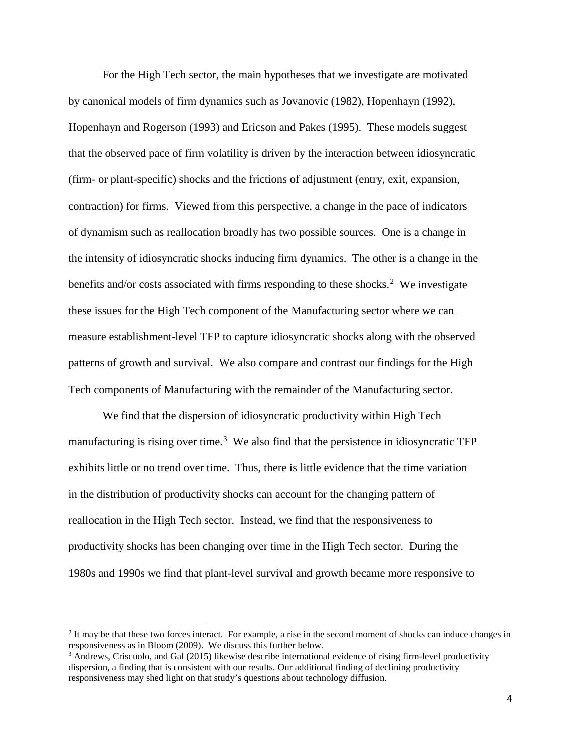For the High Tech sector, the main hypotheses that we investigate are motivated by canonical models of firm dynamics such as Jovanovic (1982), Hopenhayn (1992), Hopenhayn and Rogerson (1993) and Ericson and Pakes (1995). These models suggest that the observed pace of firm volatility is driven by the interaction between idiosyncratic (firm- or plant-specific) shocks and the frictions of adjustment (entry, exit, expansion, contraction) for firms. Viewed from this perspective, a change in the pace of indicators of dynamism such as reallocation broadly has two possible sources. One is a change in the intensity of idiosyncratic shocks inducing firm dynamics. The other is a change in the benefits and/or costs associated with firms responding to these shocks.<sup>[2](#page-3-0)</sup> We investigate these issues for the High Tech component of the Manufacturing sector where we can measure establishment-level TFP to capture idiosyncratic shocks along with the observed patterns of growth and survival. We also compare and contrast our findings for the High Tech components of Manufacturing with the remainder of the Manufacturing sector.

We find that the dispersion of idiosyncratic productivity within High Tech manufacturing is rising over time.<sup>[3](#page-3-1)</sup> We also find that the persistence in idiosyncratic TFP exhibits little or no trend over time. Thus, there is little evidence that the time variation in the distribution of productivity shocks can account for the changing pattern of reallocation in the High Tech sector. Instead, we find that the responsiveness to productivity shocks has been changing over time in the High Tech sector. During the 1980s and 1990s we find that plant-level survival and growth became more responsive to

 $\overline{\phantom{a}}$ 

<span id="page-3-0"></span><sup>&</sup>lt;sup>2</sup> It may be that these two forces interact. For example, a rise in the second moment of shocks can induce changes in responsiveness as in Bloom (2009). We discuss this further below.

<span id="page-3-1"></span> $3$  Andrews, Criscuolo, and Gal (2015) likewise describe international evidence of rising firm-level productivity dispersion, a finding that is consistent with our results. Our additional finding of declining productivity responsiveness may shed light on that study's questions about technology diffusion.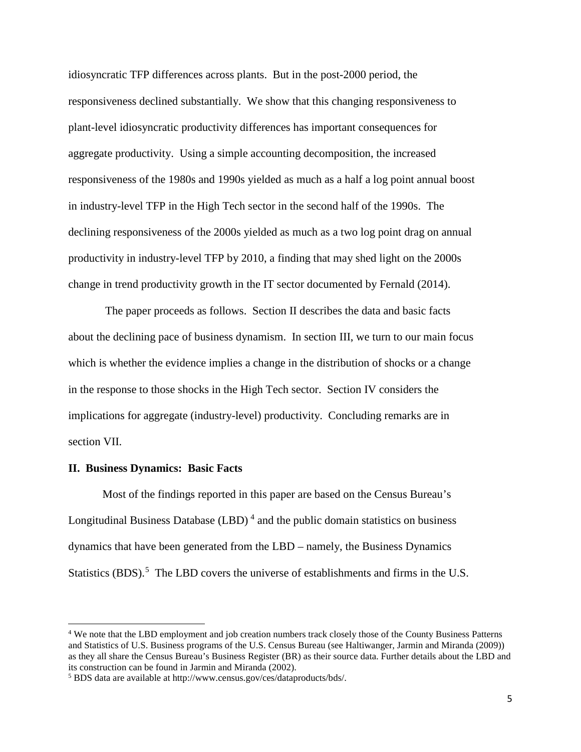idiosyncratic TFP differences across plants. But in the post-2000 period, the responsiveness declined substantially. We show that this changing responsiveness to plant-level idiosyncratic productivity differences has important consequences for aggregate productivity. Using a simple accounting decomposition, the increased responsiveness of the 1980s and 1990s yielded as much as a half a log point annual boost in industry-level TFP in the High Tech sector in the second half of the 1990s. The declining responsiveness of the 2000s yielded as much as a two log point drag on annual productivity in industry-level TFP by 2010, a finding that may shed light on the 2000s change in trend productivity growth in the IT sector documented by Fernald (2014).

The paper proceeds as follows. Section II describes the data and basic facts about the declining pace of business dynamism. In section III, we turn to our main focus which is whether the evidence implies a change in the distribution of shocks or a change in the response to those shocks in the High Tech sector. Section IV considers the implications for aggregate (industry-level) productivity. Concluding remarks are in section VII.

#### **II. Business Dynamics: Basic Facts**

 $\overline{\phantom{a}}$ 

Most of the findings reported in this paper are based on the Census Bureau's Longitudinal Business Database  $(LBD)^4$  $(LBD)^4$  and the public domain statistics on business dynamics that have been generated from the LBD – namely, the Business Dynamics Statistics (BDS).<sup>[5](#page-4-1)</sup> The LBD covers the universe of establishments and firms in the U.S.

<span id="page-4-0"></span><sup>4</sup> We note that the LBD employment and job creation numbers track closely those of the County Business Patterns and Statistics of U.S. Business programs of the U.S. Census Bureau (see Haltiwanger, Jarmin and Miranda (2009)) as they all share the Census Bureau's Business Register (BR) as their source data. Further details about the LBD and its construction can be found in Jarmin and Miranda (2002).

<span id="page-4-1"></span><sup>5</sup> BDS data are available at http://www.census.gov/ces/dataproducts/bds/.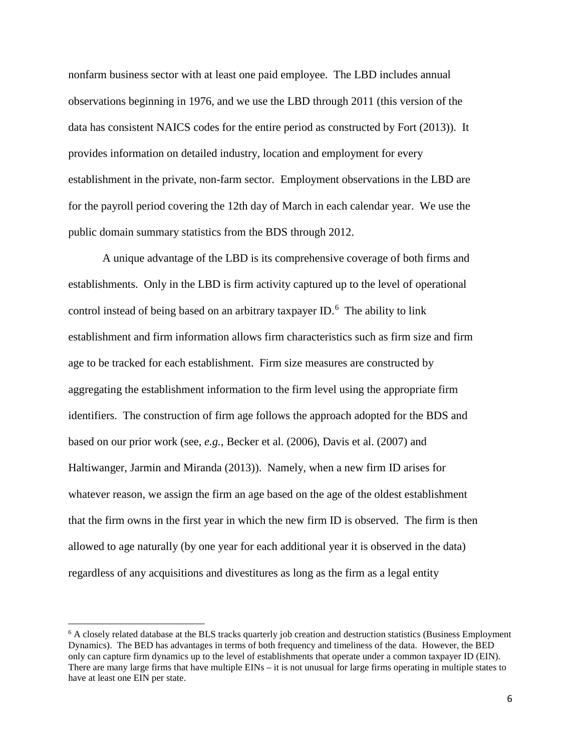nonfarm business sector with at least one paid employee. The LBD includes annual observations beginning in 1976, and we use the LBD through 2011 (this version of the data has consistent NAICS codes for the entire period as constructed by Fort (2013)). It provides information on detailed industry, location and employment for every establishment in the private, non-farm sector. Employment observations in the LBD are for the payroll period covering the 12th day of March in each calendar year. We use the public domain summary statistics from the BDS through 2012.

A unique advantage of the LBD is its comprehensive coverage of both firms and establishments. Only in the LBD is firm activity captured up to the level of operational control instead of being based on an arbitrary taxpayer ID. $<sup>6</sup>$  $<sup>6</sup>$  $<sup>6</sup>$  The ability to link</sup> establishment and firm information allows firm characteristics such as firm size and firm age to be tracked for each establishment. Firm size measures are constructed by aggregating the establishment information to the firm level using the appropriate firm identifiers. The construction of firm age follows the approach adopted for the BDS and based on our prior work (see, *e.g.*, Becker et al. (2006), Davis et al. (2007) and Haltiwanger, Jarmin and Miranda (2013)). Namely, when a new firm ID arises for whatever reason, we assign the firm an age based on the age of the oldest establishment that the firm owns in the first year in which the new firm ID is observed. The firm is then allowed to age naturally (by one year for each additional year it is observed in the data) regardless of any acquisitions and divestitures as long as the firm as a legal entity

 $\overline{\phantom{a}}$ 

<span id="page-5-0"></span> $6$  A closely related database at the BLS tracks quarterly job creation and destruction statistics (Business Employment Dynamics). The BED has advantages in terms of both frequency and timeliness of the data. However, the BED only can capture firm dynamics up to the level of establishments that operate under a common taxpayer ID (EIN). There are many large firms that have multiple EINs – it is not unusual for large firms operating in multiple states to have at least one EIN per state.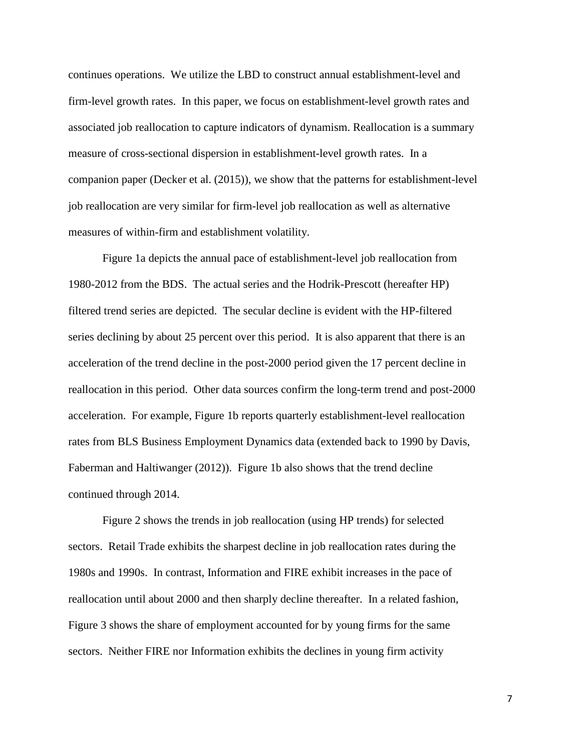continues operations. We utilize the LBD to construct annual establishment-level and firm-level growth rates. In this paper, we focus on establishment-level growth rates and associated job reallocation to capture indicators of dynamism. Reallocation is a summary measure of cross-sectional dispersion in establishment-level growth rates. In a companion paper (Decker et al. (2015)), we show that the patterns for establishment-level job reallocation are very similar for firm-level job reallocation as well as alternative measures of within-firm and establishment volatility.

Figure 1a depicts the annual pace of establishment-level job reallocation from 1980-2012 from the BDS. The actual series and the Hodrik-Prescott (hereafter HP) filtered trend series are depicted. The secular decline is evident with the HP-filtered series declining by about 25 percent over this period. It is also apparent that there is an acceleration of the trend decline in the post-2000 period given the 17 percent decline in reallocation in this period. Other data sources confirm the long-term trend and post-2000 acceleration. For example, Figure 1b reports quarterly establishment-level reallocation rates from BLS Business Employment Dynamics data (extended back to 1990 by Davis, Faberman and Haltiwanger (2012)). Figure 1b also shows that the trend decline continued through 2014.

Figure 2 shows the trends in job reallocation (using HP trends) for selected sectors. Retail Trade exhibits the sharpest decline in job reallocation rates during the 1980s and 1990s. In contrast, Information and FIRE exhibit increases in the pace of reallocation until about 2000 and then sharply decline thereafter. In a related fashion, Figure 3 shows the share of employment accounted for by young firms for the same sectors. Neither FIRE nor Information exhibits the declines in young firm activity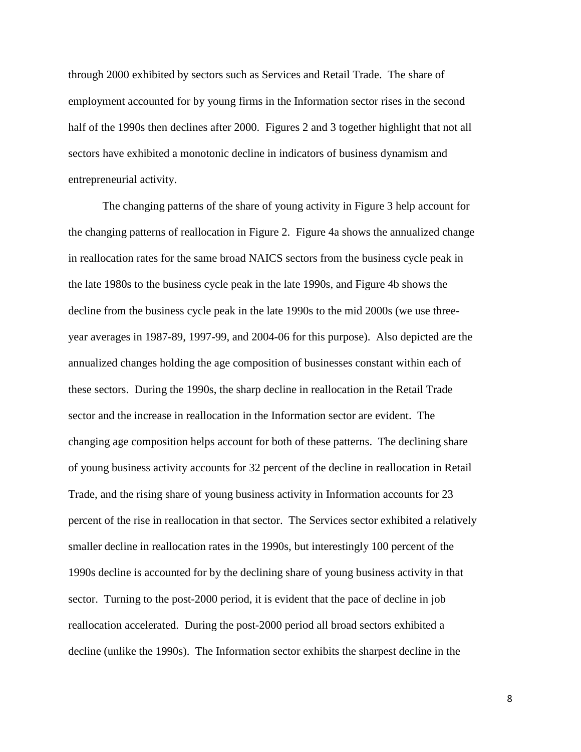through 2000 exhibited by sectors such as Services and Retail Trade. The share of employment accounted for by young firms in the Information sector rises in the second half of the 1990s then declines after 2000. Figures 2 and 3 together highlight that not all sectors have exhibited a monotonic decline in indicators of business dynamism and entrepreneurial activity.

The changing patterns of the share of young activity in Figure 3 help account for the changing patterns of reallocation in Figure 2. Figure 4a shows the annualized change in reallocation rates for the same broad NAICS sectors from the business cycle peak in the late 1980s to the business cycle peak in the late 1990s, and Figure 4b shows the decline from the business cycle peak in the late 1990s to the mid 2000s (we use threeyear averages in 1987-89, 1997-99, and 2004-06 for this purpose). Also depicted are the annualized changes holding the age composition of businesses constant within each of these sectors. During the 1990s, the sharp decline in reallocation in the Retail Trade sector and the increase in reallocation in the Information sector are evident. The changing age composition helps account for both of these patterns. The declining share of young business activity accounts for 32 percent of the decline in reallocation in Retail Trade, and the rising share of young business activity in Information accounts for 23 percent of the rise in reallocation in that sector. The Services sector exhibited a relatively smaller decline in reallocation rates in the 1990s, but interestingly 100 percent of the 1990s decline is accounted for by the declining share of young business activity in that sector. Turning to the post-2000 period, it is evident that the pace of decline in job reallocation accelerated. During the post-2000 period all broad sectors exhibited a decline (unlike the 1990s). The Information sector exhibits the sharpest decline in the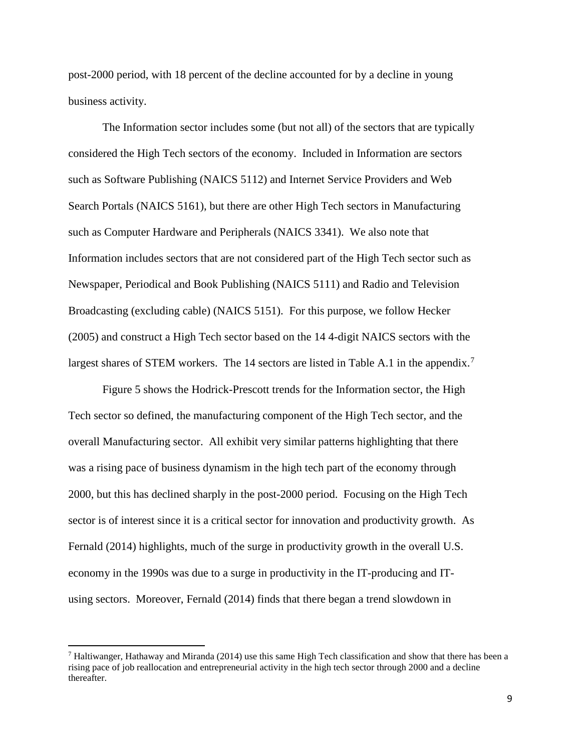post-2000 period, with 18 percent of the decline accounted for by a decline in young business activity.

The Information sector includes some (but not all) of the sectors that are typically considered the High Tech sectors of the economy. Included in Information are sectors such as Software Publishing (NAICS 5112) and Internet Service Providers and Web Search Portals (NAICS 5161), but there are other High Tech sectors in Manufacturing such as Computer Hardware and Peripherals (NAICS 3341). We also note that Information includes sectors that are not considered part of the High Tech sector such as Newspaper, Periodical and Book Publishing (NAICS 5111) and Radio and Television Broadcasting (excluding cable) (NAICS 5151). For this purpose, we follow Hecker (2005) and construct a High Tech sector based on the 14 4-digit NAICS sectors with the largest shares of STEM workers. The 14 sectors are listed in Table A.1 in the appendix.<sup>[7](#page-8-0)</sup>

Figure 5 shows the Hodrick-Prescott trends for the Information sector, the High Tech sector so defined, the manufacturing component of the High Tech sector, and the overall Manufacturing sector. All exhibit very similar patterns highlighting that there was a rising pace of business dynamism in the high tech part of the economy through 2000, but this has declined sharply in the post-2000 period. Focusing on the High Tech sector is of interest since it is a critical sector for innovation and productivity growth. As Fernald (2014) highlights, much of the surge in productivity growth in the overall U.S. economy in the 1990s was due to a surge in productivity in the IT-producing and ITusing sectors. Moreover, Fernald (2014) finds that there began a trend slowdown in

 $\overline{\phantom{a}}$ 

<span id="page-8-0"></span><sup>&</sup>lt;sup>7</sup> Haltiwanger, Hathaway and Miranda (2014) use this same High Tech classification and show that there has been a rising pace of job reallocation and entrepreneurial activity in the high tech sector through 2000 and a decline thereafter.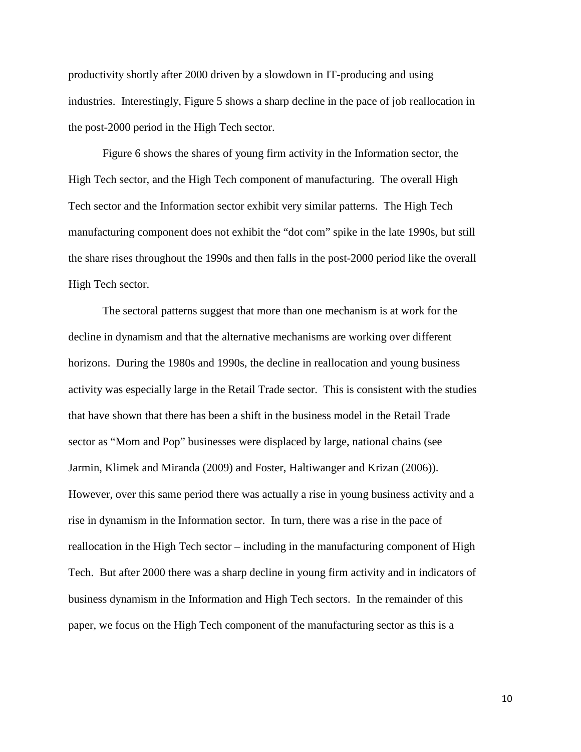productivity shortly after 2000 driven by a slowdown in IT-producing and using industries. Interestingly, Figure 5 shows a sharp decline in the pace of job reallocation in the post-2000 period in the High Tech sector.

Figure 6 shows the shares of young firm activity in the Information sector, the High Tech sector, and the High Tech component of manufacturing. The overall High Tech sector and the Information sector exhibit very similar patterns. The High Tech manufacturing component does not exhibit the "dot com" spike in the late 1990s, but still the share rises throughout the 1990s and then falls in the post-2000 period like the overall High Tech sector.

The sectoral patterns suggest that more than one mechanism is at work for the decline in dynamism and that the alternative mechanisms are working over different horizons. During the 1980s and 1990s, the decline in reallocation and young business activity was especially large in the Retail Trade sector. This is consistent with the studies that have shown that there has been a shift in the business model in the Retail Trade sector as "Mom and Pop" businesses were displaced by large, national chains (see Jarmin, Klimek and Miranda (2009) and Foster, Haltiwanger and Krizan (2006)). However, over this same period there was actually a rise in young business activity and a rise in dynamism in the Information sector. In turn, there was a rise in the pace of reallocation in the High Tech sector – including in the manufacturing component of High Tech. But after 2000 there was a sharp decline in young firm activity and in indicators of business dynamism in the Information and High Tech sectors. In the remainder of this paper, we focus on the High Tech component of the manufacturing sector as this is a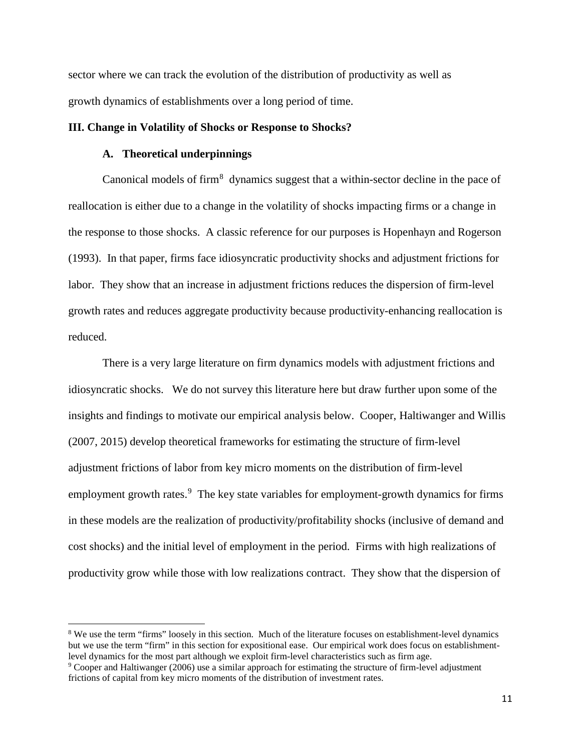sector where we can track the evolution of the distribution of productivity as well as growth dynamics of establishments over a long period of time.

### **III. Change in Volatility of Shocks or Response to Shocks?**

#### **A. Theoretical underpinnings**

 $\overline{\phantom{a}}$ 

Canonical models of firm<sup>[8](#page-10-0)</sup> dynamics suggest that a within-sector decline in the pace of reallocation is either due to a change in the volatility of shocks impacting firms or a change in the response to those shocks. A classic reference for our purposes is Hopenhayn and Rogerson (1993). In that paper, firms face idiosyncratic productivity shocks and adjustment frictions for labor. They show that an increase in adjustment frictions reduces the dispersion of firm-level growth rates and reduces aggregate productivity because productivity-enhancing reallocation is reduced.

There is a very large literature on firm dynamics models with adjustment frictions and idiosyncratic shocks. We do not survey this literature here but draw further upon some of the insights and findings to motivate our empirical analysis below. Cooper, Haltiwanger and Willis (2007, 2015) develop theoretical frameworks for estimating the structure of firm-level adjustment frictions of labor from key micro moments on the distribution of firm-level employment growth rates.<sup>[9](#page-10-1)</sup> The key state variables for employment-growth dynamics for firms in these models are the realization of productivity/profitability shocks (inclusive of demand and cost shocks) and the initial level of employment in the period. Firms with high realizations of productivity grow while those with low realizations contract. They show that the dispersion of

<span id="page-10-0"></span><sup>&</sup>lt;sup>8</sup> We use the term "firms" loosely in this section. Much of the literature focuses on establishment-level dynamics but we use the term "firm" in this section for expositional ease. Our empirical work does focus on establishmentlevel dynamics for the most part although we exploit firm-level characteristics such as firm age.

<span id="page-10-1"></span><sup>9</sup> Cooper and Haltiwanger (2006) use a similar approach for estimating the structure of firm-level adjustment frictions of capital from key micro moments of the distribution of investment rates.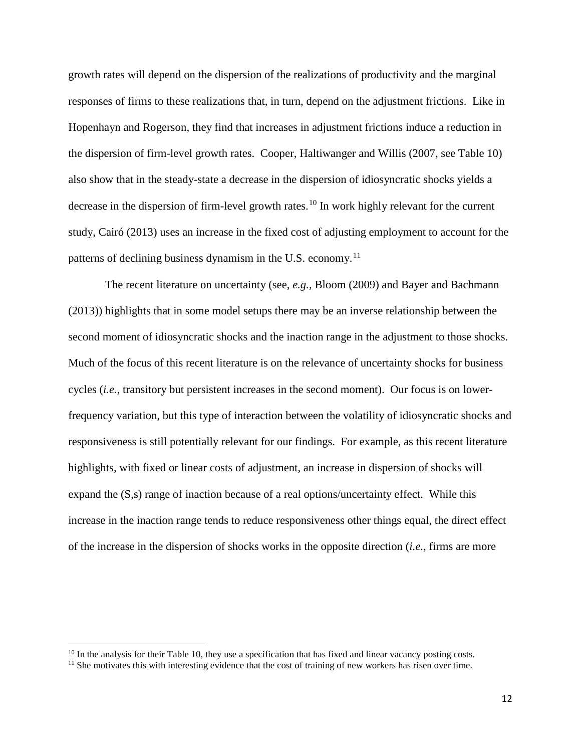growth rates will depend on the dispersion of the realizations of productivity and the marginal responses of firms to these realizations that, in turn, depend on the adjustment frictions. Like in Hopenhayn and Rogerson, they find that increases in adjustment frictions induce a reduction in the dispersion of firm-level growth rates. Cooper, Haltiwanger and Willis (2007, see Table 10) also show that in the steady-state a decrease in the dispersion of idiosyncratic shocks yields a decrease in the dispersion of firm-level growth rates.<sup>[10](#page-11-0)</sup> In work highly relevant for the current study, Cairó (2013) uses an increase in the fixed cost of adjusting employment to account for the patterns of declining business dynamism in the U.S. economy.<sup>[11](#page-11-1)</sup>

The recent literature on uncertainty (see, *e.g.*, Bloom (2009) and Bayer and Bachmann (2013)) highlights that in some model setups there may be an inverse relationship between the second moment of idiosyncratic shocks and the inaction range in the adjustment to those shocks. Much of the focus of this recent literature is on the relevance of uncertainty shocks for business cycles (*i.e.,* transitory but persistent increases in the second moment). Our focus is on lowerfrequency variation, but this type of interaction between the volatility of idiosyncratic shocks and responsiveness is still potentially relevant for our findings. For example, as this recent literature highlights, with fixed or linear costs of adjustment, an increase in dispersion of shocks will expand the (S,s) range of inaction because of a real options/uncertainty effect. While this increase in the inaction range tends to reduce responsiveness other things equal, the direct effect of the increase in the dispersion of shocks works in the opposite direction (*i.e.*, firms are more

 $\overline{\phantom{a}}$ 

<span id="page-11-1"></span><span id="page-11-0"></span><sup>&</sup>lt;sup>10</sup> In the analysis for their Table 10, they use a specification that has fixed and linear vacancy posting costs. <sup>11</sup> She motivates this with interesting evidence that the cost of training of new workers has risen over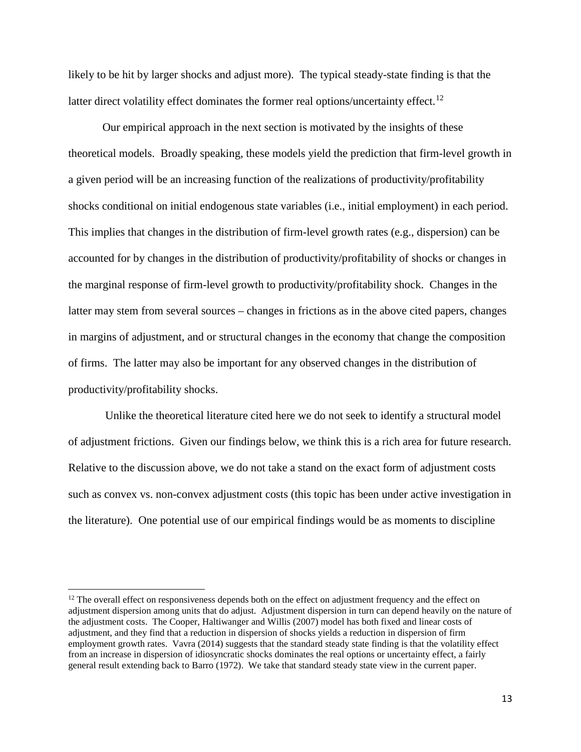likely to be hit by larger shocks and adjust more). The typical steady-state finding is that the latter direct volatility effect dominates the former real options/uncertainty effect.<sup>[12](#page-12-0)</sup>

Our empirical approach in the next section is motivated by the insights of these theoretical models. Broadly speaking, these models yield the prediction that firm-level growth in a given period will be an increasing function of the realizations of productivity/profitability shocks conditional on initial endogenous state variables (i.e., initial employment) in each period. This implies that changes in the distribution of firm-level growth rates (e.g., dispersion) can be accounted for by changes in the distribution of productivity/profitability of shocks or changes in the marginal response of firm-level growth to productivity/profitability shock. Changes in the latter may stem from several sources – changes in frictions as in the above cited papers, changes in margins of adjustment, and or structural changes in the economy that change the composition of firms. The latter may also be important for any observed changes in the distribution of productivity/profitability shocks.

Unlike the theoretical literature cited here we do not seek to identify a structural model of adjustment frictions. Given our findings below, we think this is a rich area for future research. Relative to the discussion above, we do not take a stand on the exact form of adjustment costs such as convex vs. non-convex adjustment costs (this topic has been under active investigation in the literature). One potential use of our empirical findings would be as moments to discipline

<span id="page-12-0"></span> $12$  The overall effect on responsiveness depends both on the effect on adjustment frequency and the effect on adjustment dispersion among units that do adjust. Adjustment dispersion in turn can depend heavily on the nature of the adjustment costs. The Cooper, Haltiwanger and Willis (2007) model has both fixed and linear costs of adjustment, and they find that a reduction in dispersion of shocks yields a reduction in dispersion of firm employment growth rates. Vavra (2014) suggests that the standard steady state finding is that the volatility effect from an increase in dispersion of idiosyncratic shocks dominates the real options or uncertainty effect, a fairly general result extending back to Barro (1972). We take that standard steady state view in the current paper.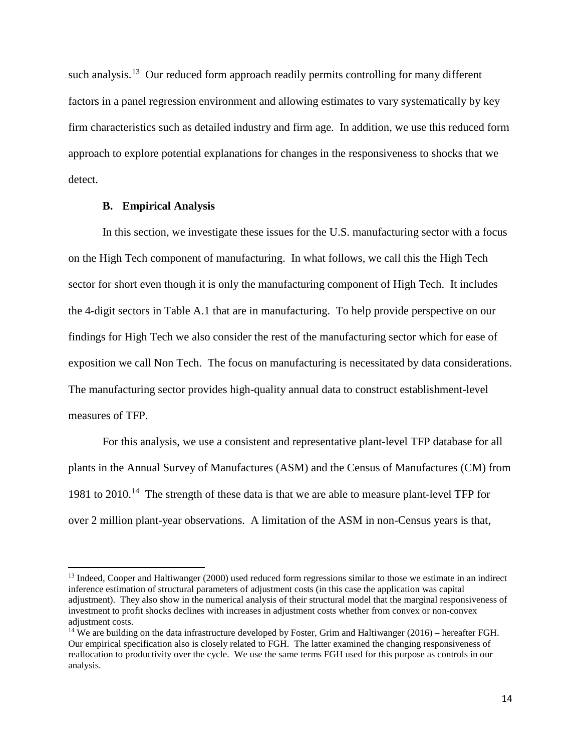such analysis.<sup>[13](#page-13-0)</sup> Our reduced form approach readily permits controlling for many different factors in a panel regression environment and allowing estimates to vary systematically by key firm characteristics such as detailed industry and firm age. In addition, we use this reduced form approach to explore potential explanations for changes in the responsiveness to shocks that we detect.

#### **B. Empirical Analysis**

l

In this section, we investigate these issues for the U.S. manufacturing sector with a focus on the High Tech component of manufacturing. In what follows, we call this the High Tech sector for short even though it is only the manufacturing component of High Tech. It includes the 4-digit sectors in Table A.1 that are in manufacturing. To help provide perspective on our findings for High Tech we also consider the rest of the manufacturing sector which for ease of exposition we call Non Tech. The focus on manufacturing is necessitated by data considerations. The manufacturing sector provides high-quality annual data to construct establishment-level measures of TFP.

For this analysis, we use a consistent and representative plant-level TFP database for all plants in the Annual Survey of Manufactures (ASM) and the Census of Manufactures (CM) from 1981 to 2010.<sup>[14](#page-13-1)</sup> The strength of these data is that we are able to measure plant-level TFP for over 2 million plant-year observations. A limitation of the ASM in non-Census years is that,

<span id="page-13-0"></span><sup>&</sup>lt;sup>13</sup> Indeed, Cooper and Haltiwanger (2000) used reduced form regressions similar to those we estimate in an indirect inference estimation of structural parameters of adjustment costs (in this case the application was capital adjustment). They also show in the numerical analysis of their structural model that the marginal responsiveness of investment to profit shocks declines with increases in adjustment costs whether from convex or non-convex adjustment costs.

<span id="page-13-1"></span><sup>&</sup>lt;sup>14</sup> We are building on the data infrastructure developed by Foster, Grim and Haltiwanger (2016) – hereafter FGH. Our empirical specification also is closely related to FGH. The latter examined the changing responsiveness of reallocation to productivity over the cycle. We use the same terms FGH used for this purpose as controls in our analysis.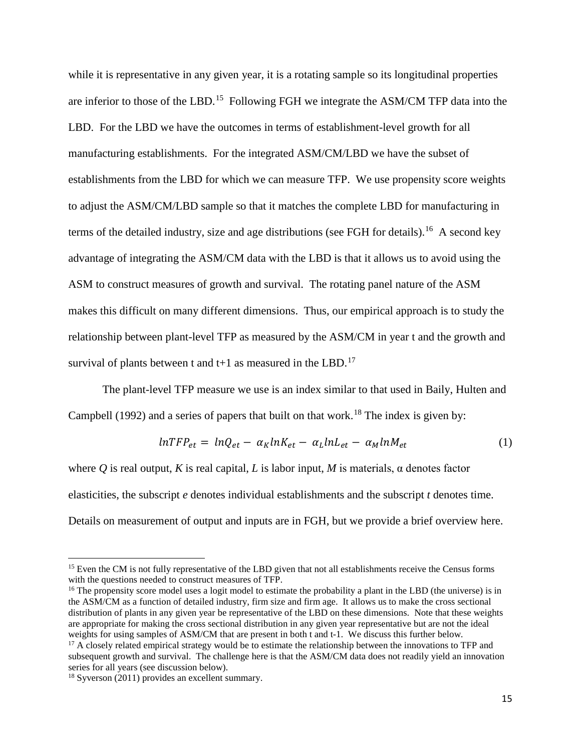while it is representative in any given year, it is a rotating sample so its longitudinal properties are inferior to those of the LBD.<sup>15</sup> Following FGH we integrate the ASM/CM TFP data into the LBD. For the LBD we have the outcomes in terms of establishment-level growth for all manufacturing establishments. For the integrated ASM/CM/LBD we have the subset of establishments from the LBD for which we can measure TFP. We use propensity score weights to adjust the ASM/CM/LBD sample so that it matches the complete LBD for manufacturing in terms of the detailed industry, size and age distributions (see FGH for details).<sup>[16](#page-14-1)</sup> A second key advantage of integrating the ASM/CM data with the LBD is that it allows us to avoid using the ASM to construct measures of growth and survival. The rotating panel nature of the ASM makes this difficult on many different dimensions. Thus, our empirical approach is to study the relationship between plant-level TFP as measured by the ASM/CM in year t and the growth and survival of plants between t and  $t+1$  as measured in the LBD.<sup>17</sup>

The plant-level TFP measure we use is an index similar to that used in Baily, Hulten and Campbell (1992) and a series of papers that built on that work.<sup>[18](#page-14-3)</sup> The index is given by:

$$
lnTFP_{et} = lnQ_{et} - \alpha_K lnK_{et} - \alpha_L lnL_{et} - \alpha_M lnM_{et}
$$
 (1)

where *Q* is real output, *K* is real capital, *L* is labor input, *M* is materials, α denotes factor elasticities, the subscript *e* denotes individual establishments and the subscript *t* denotes time. Details on measurement of output and inputs are in FGH, but we provide a brief overview here.

 $\overline{\phantom{a}}$ 

<span id="page-14-0"></span><sup>&</sup>lt;sup>15</sup> Even the CM is not fully representative of the LBD given that not all establishments receive the Census forms with the questions needed to construct measures of TFP.

<span id="page-14-1"></span><sup>&</sup>lt;sup>16</sup> The propensity score model uses a logit model to estimate the probability a plant in the LBD (the universe) is in the ASM/CM as a function of detailed industry, firm size and firm age. It allows us to make the cross sectional distribution of plants in any given year be representative of the LBD on these dimensions. Note that these weights are appropriate for making the cross sectional distribution in any given year representative but are not the ideal weights for using samples of ASM/CM that are present in both t and t-1. We discuss this further below.

<span id="page-14-2"></span> $17$  A closely related empirical strategy would be to estimate the relationship between the innovations to TFP and subsequent growth and survival. The challenge here is that the ASM/CM data does not readily yield an innovation series for all years (see discussion below).

<span id="page-14-3"></span><sup>&</sup>lt;sup>18</sup> Syverson (2011) provides an excellent summary.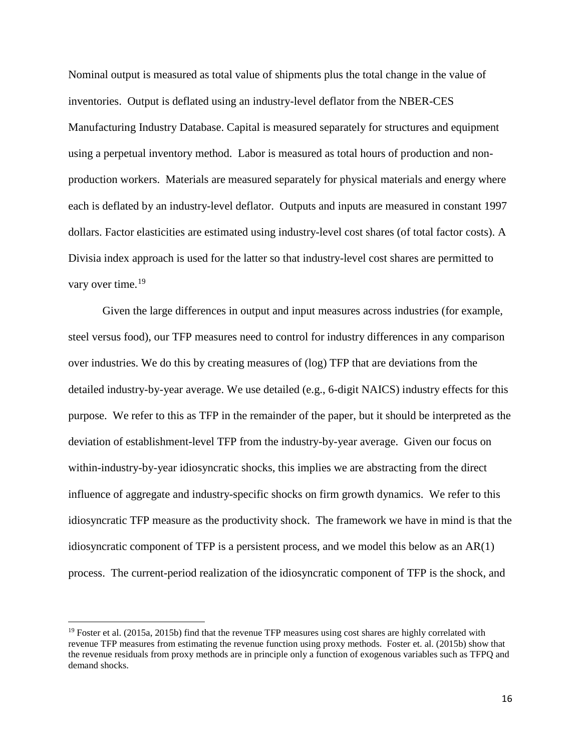Nominal output is measured as total value of shipments plus the total change in the value of inventories. Output is deflated using an industry-level deflator from the NBER-CES Manufacturing Industry Database. Capital is measured separately for structures and equipment using a perpetual inventory method. Labor is measured as total hours of production and nonproduction workers. Materials are measured separately for physical materials and energy where each is deflated by an industry-level deflator. Outputs and inputs are measured in constant 1997 dollars. Factor elasticities are estimated using industry-level cost shares (of total factor costs). A Divisia index approach is used for the latter so that industry-level cost shares are permitted to vary over time.<sup>[19](#page-15-0)</sup>

Given the large differences in output and input measures across industries (for example, steel versus food), our TFP measures need to control for industry differences in any comparison over industries. We do this by creating measures of (log) TFP that are deviations from the detailed industry-by-year average. We use detailed (e.g., 6-digit NAICS) industry effects for this purpose. We refer to this as TFP in the remainder of the paper, but it should be interpreted as the deviation of establishment-level TFP from the industry-by-year average. Given our focus on within-industry-by-year idiosyncratic shocks, this implies we are abstracting from the direct influence of aggregate and industry-specific shocks on firm growth dynamics. We refer to this idiosyncratic TFP measure as the productivity shock. The framework we have in mind is that the idiosyncratic component of TFP is a persistent process, and we model this below as an AR(1) process. The current-period realization of the idiosyncratic component of TFP is the shock, and

<span id="page-15-0"></span> $19$  Foster et al. (2015a, 2015b) find that the revenue TFP measures using cost shares are highly correlated with revenue TFP measures from estimating the revenue function using proxy methods. Foster et. al. (2015b) show that the revenue residuals from proxy methods are in principle only a function of exogenous variables such as TFPQ and demand shocks.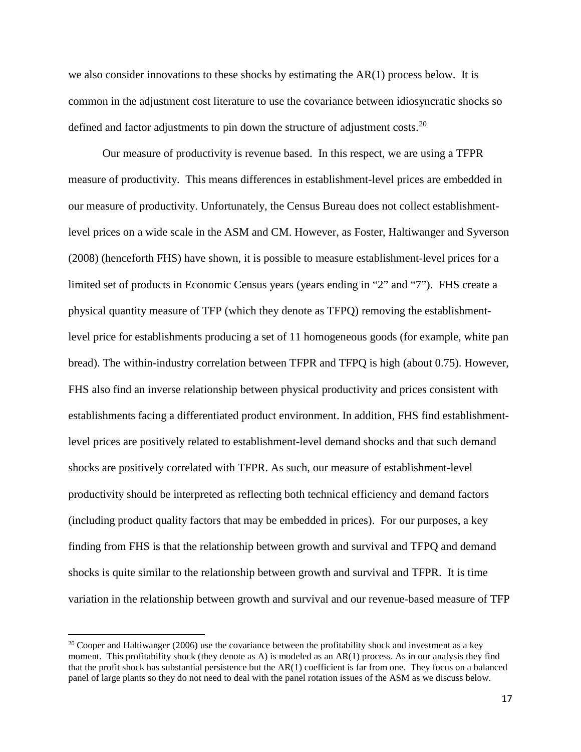we also consider innovations to these shocks by estimating the AR(1) process below. It is common in the adjustment cost literature to use the covariance between idiosyncratic shocks so defined and factor adjustments to pin down the structure of adjustment costs.<sup>20</sup>

Our measure of productivity is revenue based. In this respect, we are using a TFPR measure of productivity. This means differences in establishment-level prices are embedded in our measure of productivity. Unfortunately, the Census Bureau does not collect establishmentlevel prices on a wide scale in the ASM and CM. However, as Foster, Haltiwanger and Syverson (2008) (henceforth FHS) have shown, it is possible to measure establishment-level prices for a limited set of products in Economic Census years (years ending in "2" and "7"). FHS create a physical quantity measure of TFP (which they denote as TFPQ) removing the establishmentlevel price for establishments producing a set of 11 homogeneous goods (for example, white pan bread). The within-industry correlation between TFPR and TFPQ is high (about 0.75). However, FHS also find an inverse relationship between physical productivity and prices consistent with establishments facing a differentiated product environment. In addition, FHS find establishmentlevel prices are positively related to establishment-level demand shocks and that such demand shocks are positively correlated with TFPR. As such, our measure of establishment-level productivity should be interpreted as reflecting both technical efficiency and demand factors (including product quality factors that may be embedded in prices). For our purposes, a key finding from FHS is that the relationship between growth and survival and TFPQ and demand shocks is quite similar to the relationship between growth and survival and TFPR. It is time variation in the relationship between growth and survival and our revenue-based measure of TFP

<span id="page-16-0"></span> $20$  Cooper and Haltiwanger (2006) use the covariance between the profitability shock and investment as a key moment. This profitability shock (they denote as A) is modeled as an AR(1) process. As in our analysis they find that the profit shock has substantial persistence but the AR(1) coefficient is far from one. They focus on a balanced panel of large plants so they do not need to deal with the panel rotation issues of the ASM as we discuss below.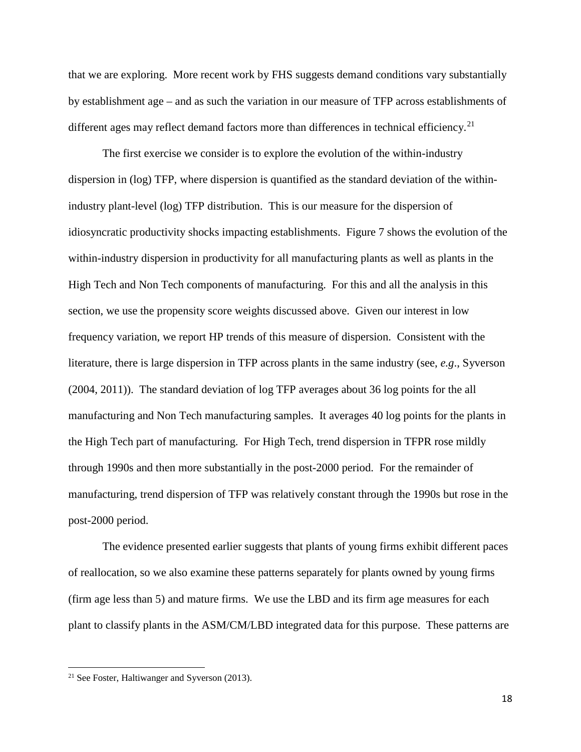that we are exploring. More recent work by FHS suggests demand conditions vary substantially by establishment age – and as such the variation in our measure of TFP across establishments of different ages may reflect demand factors more than differences in technical efficiency.<sup>21</sup>

The first exercise we consider is to explore the evolution of the within-industry dispersion in (log) TFP, where dispersion is quantified as the standard deviation of the withinindustry plant-level (log) TFP distribution. This is our measure for the dispersion of idiosyncratic productivity shocks impacting establishments. Figure 7 shows the evolution of the within-industry dispersion in productivity for all manufacturing plants as well as plants in the High Tech and Non Tech components of manufacturing. For this and all the analysis in this section, we use the propensity score weights discussed above. Given our interest in low frequency variation, we report HP trends of this measure of dispersion. Consistent with the literature, there is large dispersion in TFP across plants in the same industry (see, *e.g*., Syverson (2004, 2011)). The standard deviation of log TFP averages about 36 log points for the all manufacturing and Non Tech manufacturing samples. It averages 40 log points for the plants in the High Tech part of manufacturing. For High Tech, trend dispersion in TFPR rose mildly through 1990s and then more substantially in the post-2000 period. For the remainder of manufacturing, trend dispersion of TFP was relatively constant through the 1990s but rose in the post-2000 period.

The evidence presented earlier suggests that plants of young firms exhibit different paces of reallocation, so we also examine these patterns separately for plants owned by young firms (firm age less than 5) and mature firms. We use the LBD and its firm age measures for each plant to classify plants in the ASM/CM/LBD integrated data for this purpose. These patterns are

<span id="page-17-0"></span><sup>21</sup> See Foster, Haltiwanger and Syverson (2013).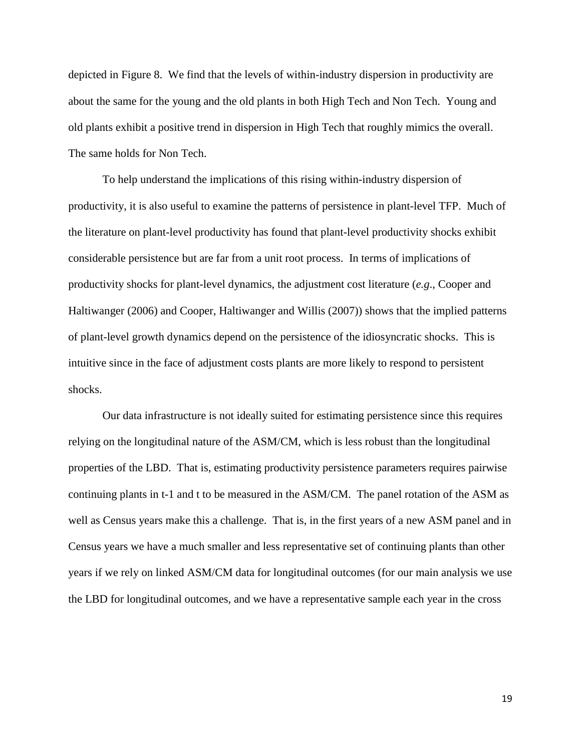depicted in Figure 8. We find that the levels of within-industry dispersion in productivity are about the same for the young and the old plants in both High Tech and Non Tech. Young and old plants exhibit a positive trend in dispersion in High Tech that roughly mimics the overall. The same holds for Non Tech.

To help understand the implications of this rising within-industry dispersion of productivity, it is also useful to examine the patterns of persistence in plant-level TFP. Much of the literature on plant-level productivity has found that plant-level productivity shocks exhibit considerable persistence but are far from a unit root process. In terms of implications of productivity shocks for plant-level dynamics, the adjustment cost literature (*e.g*., Cooper and Haltiwanger (2006) and Cooper, Haltiwanger and Willis (2007)) shows that the implied patterns of plant-level growth dynamics depend on the persistence of the idiosyncratic shocks. This is intuitive since in the face of adjustment costs plants are more likely to respond to persistent shocks.

Our data infrastructure is not ideally suited for estimating persistence since this requires relying on the longitudinal nature of the ASM/CM, which is less robust than the longitudinal properties of the LBD. That is, estimating productivity persistence parameters requires pairwise continuing plants in t-1 and t to be measured in the ASM/CM. The panel rotation of the ASM as well as Census years make this a challenge. That is, in the first years of a new ASM panel and in Census years we have a much smaller and less representative set of continuing plants than other years if we rely on linked ASM/CM data for longitudinal outcomes (for our main analysis we use the LBD for longitudinal outcomes, and we have a representative sample each year in the cross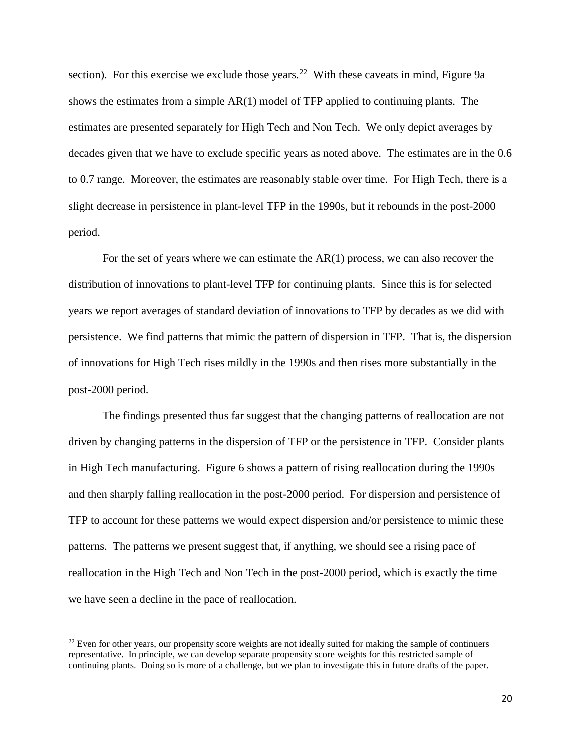section). For this exercise we exclude those years.<sup>22</sup> With these caveats in mind, Figure 9a shows the estimates from a simple AR(1) model of TFP applied to continuing plants. The estimates are presented separately for High Tech and Non Tech. We only depict averages by decades given that we have to exclude specific years as noted above. The estimates are in the 0.6 to 0.7 range. Moreover, the estimates are reasonably stable over time. For High Tech, there is a slight decrease in persistence in plant-level TFP in the 1990s, but it rebounds in the post-2000 period.

For the set of years where we can estimate the  $AR(1)$  process, we can also recover the distribution of innovations to plant-level TFP for continuing plants. Since this is for selected years we report averages of standard deviation of innovations to TFP by decades as we did with persistence. We find patterns that mimic the pattern of dispersion in TFP. That is, the dispersion of innovations for High Tech rises mildly in the 1990s and then rises more substantially in the post-2000 period.

The findings presented thus far suggest that the changing patterns of reallocation are not driven by changing patterns in the dispersion of TFP or the persistence in TFP. Consider plants in High Tech manufacturing. Figure 6 shows a pattern of rising reallocation during the 1990s and then sharply falling reallocation in the post-2000 period. For dispersion and persistence of TFP to account for these patterns we would expect dispersion and/or persistence to mimic these patterns. The patterns we present suggest that, if anything, we should see a rising pace of reallocation in the High Tech and Non Tech in the post-2000 period, which is exactly the time we have seen a decline in the pace of reallocation.

<span id="page-19-0"></span> $22$  Even for other years, our propensity score weights are not ideally suited for making the sample of continuers representative. In principle, we can develop separate propensity score weights for this restricted sample of continuing plants. Doing so is more of a challenge, but we plan to investigate this in future drafts of the paper.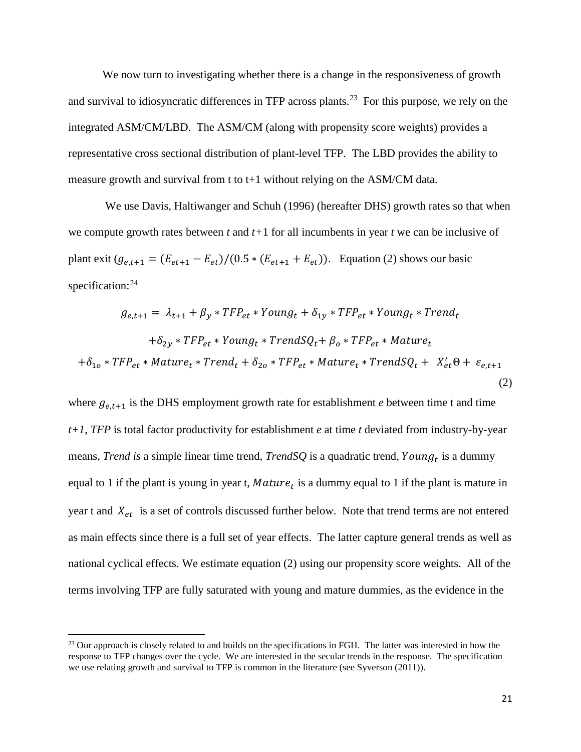We now turn to investigating whether there is a change in the responsiveness of growth and survival to idiosyncratic differences in TFP across plants.<sup>[23](#page-20-0)</sup> For this purpose, we rely on the integrated ASM/CM/LBD. The ASM/CM (along with propensity score weights) provides a representative cross sectional distribution of plant-level TFP. The LBD provides the ability to measure growth and survival from t to t+1 without relying on the ASM/CM data.

We use Davis, Haltiwanger and Schuh (1996) (hereafter DHS) growth rates so that when we compute growth rates between *t* and *t+*1 for all incumbents in year *t* we can be inclusive of plant exit  $(g_{e,t+1} = (E_{et+1} - E_{et})/(0.5 * (E_{et+1} + E_{et}))$ . Equation (2) shows our basic specification:<sup>[24](#page-20-1)</sup>

$$
g_{e,t+1} = \lambda_{t+1} + \beta_y * TFP_{et} * Young_t + \delta_{1y} * TFP_{et} * Young_t * Trend_t
$$
  
+ $\delta_{2y} * TFP_{et} * Young_t * TrendSQ_t + \beta_o * TFP_{et} * Nature_t$   
+ $\delta_{1o} * TFP_{et} * Nature_t * Trend_t + \delta_{2o} * TFP_{et} * Nature_t * TrendSQ_t + X'_{et} \Theta + \varepsilon_{e,t+1}$  (2)

where  $g_{e,t+1}$  is the DHS employment growth rate for establishment *e* between time t and time *t+1*, *TFP* is total factor productivity for establishment *e* at time *t* deviated from industry-by-year means, *Trend is* a simple linear time trend, *TrendSQ* is a quadratic trend, *Young*<sub>t</sub> is a dummy equal to 1 if the plant is young in year t,  $Mature_t$  is a dummy equal to 1 if the plant is mature in year t and  $X_{et}$  is a set of controls discussed further below. Note that trend terms are not entered as main effects since there is a full set of year effects. The latter capture general trends as well as national cyclical effects. We estimate equation (2) using our propensity score weights. All of the terms involving TFP are fully saturated with young and mature dummies, as the evidence in the

<span id="page-20-1"></span><span id="page-20-0"></span><sup>&</sup>lt;sup>23</sup> Our approach is closely related to and builds on the specifications in FGH. The latter was interested in how the response to TFP changes over the cycle. We are interested in the secular trends in the response. The specification we use relating growth and survival to TFP is common in the literature (see Syverson (2011)).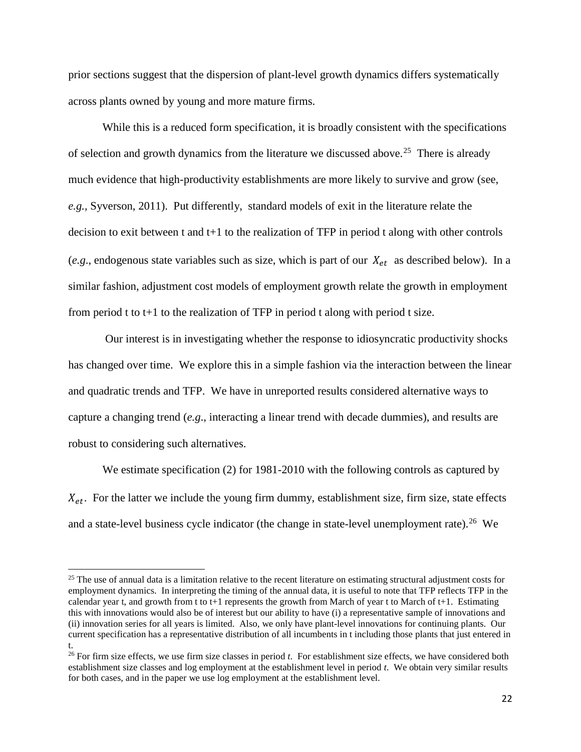prior sections suggest that the dispersion of plant-level growth dynamics differs systematically across plants owned by young and more mature firms.

While this is a reduced form specification, it is broadly consistent with the specifications of selection and growth dynamics from the literature we discussed above.<sup>[25](#page-21-0)</sup> There is already much evidence that high-productivity establishments are more likely to survive and grow (see, *e.g.,* Syverson, 2011). Put differently, standard models of exit in the literature relate the decision to exit between t and t+1 to the realization of TFP in period t along with other controls (*e.g.*, endogenous state variables such as size, which is part of our  $X_{et}$  as described below). In a similar fashion, adjustment cost models of employment growth relate the growth in employment from period t to  $t+1$  to the realization of TFP in period t along with period t size.

Our interest is in investigating whether the response to idiosyncratic productivity shocks has changed over time. We explore this in a simple fashion via the interaction between the linear and quadratic trends and TFP. We have in unreported results considered alternative ways to capture a changing trend (*e.g*., interacting a linear trend with decade dummies), and results are robust to considering such alternatives.

We estimate specification (2) for 1981-2010 with the following controls as captured by  $X_{et}$ . For the latter we include the young firm dummy, establishment size, firm size, state effects and a state-level business cycle indicator (the change in state-level unemployment rate).<sup>26</sup> We

<span id="page-21-0"></span><sup>&</sup>lt;sup>25</sup> The use of annual data is a limitation relative to the recent literature on estimating structural adjustment costs for employment dynamics. In interpreting the timing of the annual data, it is useful to note that TFP reflects TFP in the calendar year t, and growth from t to t+1 represents the growth from March of year t to March of t+1. Estimating this with innovations would also be of interest but our ability to have (i) a representative sample of innovations and (ii) innovation series for all years is limited. Also, we only have plant-level innovations for continuing plants. Our current specification has a representative distribution of all incumbents in t including those plants that just entered in t.

<span id="page-21-1"></span><sup>&</sup>lt;sup>26</sup> For firm size effects, we use firm size classes in period *t*. For establishment size effects, we have considered both establishment size classes and log employment at the establishment level in period *t*. We obtain very similar results for both cases, and in the paper we use log employment at the establishment level.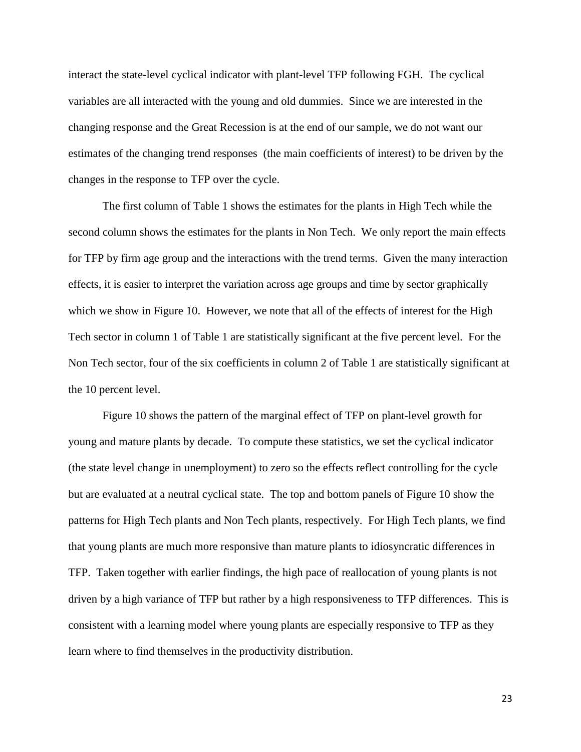interact the state-level cyclical indicator with plant-level TFP following FGH. The cyclical variables are all interacted with the young and old dummies. Since we are interested in the changing response and the Great Recession is at the end of our sample, we do not want our estimates of the changing trend responses (the main coefficients of interest) to be driven by the changes in the response to TFP over the cycle.

The first column of Table 1 shows the estimates for the plants in High Tech while the second column shows the estimates for the plants in Non Tech. We only report the main effects for TFP by firm age group and the interactions with the trend terms. Given the many interaction effects, it is easier to interpret the variation across age groups and time by sector graphically which we show in Figure 10. However, we note that all of the effects of interest for the High Tech sector in column 1 of Table 1 are statistically significant at the five percent level. For the Non Tech sector, four of the six coefficients in column 2 of Table 1 are statistically significant at the 10 percent level.

Figure 10 shows the pattern of the marginal effect of TFP on plant-level growth for young and mature plants by decade. To compute these statistics, we set the cyclical indicator (the state level change in unemployment) to zero so the effects reflect controlling for the cycle but are evaluated at a neutral cyclical state. The top and bottom panels of Figure 10 show the patterns for High Tech plants and Non Tech plants, respectively. For High Tech plants, we find that young plants are much more responsive than mature plants to idiosyncratic differences in TFP. Taken together with earlier findings, the high pace of reallocation of young plants is not driven by a high variance of TFP but rather by a high responsiveness to TFP differences. This is consistent with a learning model where young plants are especially responsive to TFP as they learn where to find themselves in the productivity distribution.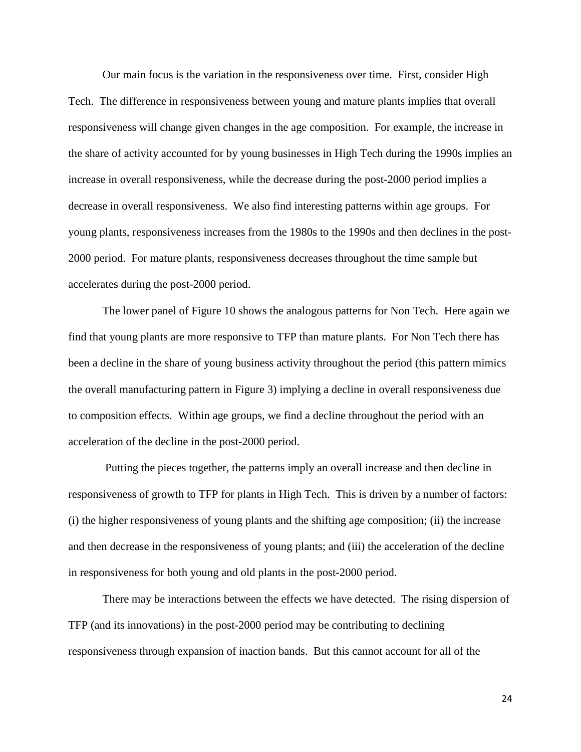Our main focus is the variation in the responsiveness over time. First, consider High Tech. The difference in responsiveness between young and mature plants implies that overall responsiveness will change given changes in the age composition. For example, the increase in the share of activity accounted for by young businesses in High Tech during the 1990s implies an increase in overall responsiveness, while the decrease during the post-2000 period implies a decrease in overall responsiveness. We also find interesting patterns within age groups. For young plants, responsiveness increases from the 1980s to the 1990s and then declines in the post-2000 period. For mature plants, responsiveness decreases throughout the time sample but accelerates during the post-2000 period.

The lower panel of Figure 10 shows the analogous patterns for Non Tech. Here again we find that young plants are more responsive to TFP than mature plants. For Non Tech there has been a decline in the share of young business activity throughout the period (this pattern mimics the overall manufacturing pattern in Figure 3) implying a decline in overall responsiveness due to composition effects. Within age groups, we find a decline throughout the period with an acceleration of the decline in the post-2000 period.

Putting the pieces together, the patterns imply an overall increase and then decline in responsiveness of growth to TFP for plants in High Tech. This is driven by a number of factors: (i) the higher responsiveness of young plants and the shifting age composition; (ii) the increase and then decrease in the responsiveness of young plants; and (iii) the acceleration of the decline in responsiveness for both young and old plants in the post-2000 period.

There may be interactions between the effects we have detected. The rising dispersion of TFP (and its innovations) in the post-2000 period may be contributing to declining responsiveness through expansion of inaction bands. But this cannot account for all of the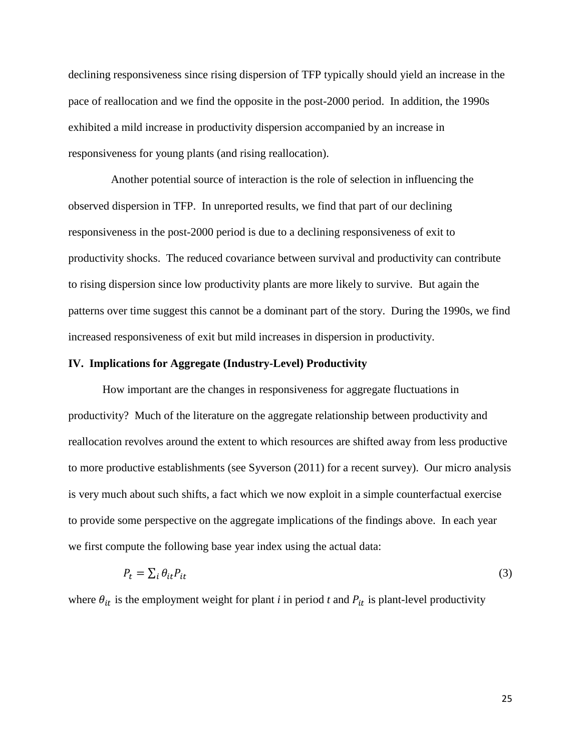declining responsiveness since rising dispersion of TFP typically should yield an increase in the pace of reallocation and we find the opposite in the post-2000 period. In addition, the 1990s exhibited a mild increase in productivity dispersion accompanied by an increase in responsiveness for young plants (and rising reallocation).

 Another potential source of interaction is the role of selection in influencing the observed dispersion in TFP. In unreported results, we find that part of our declining responsiveness in the post-2000 period is due to a declining responsiveness of exit to productivity shocks. The reduced covariance between survival and productivity can contribute to rising dispersion since low productivity plants are more likely to survive. But again the patterns over time suggest this cannot be a dominant part of the story. During the 1990s, we find increased responsiveness of exit but mild increases in dispersion in productivity.

#### **IV. Implications for Aggregate (Industry-Level) Productivity**

How important are the changes in responsiveness for aggregate fluctuations in productivity? Much of the literature on the aggregate relationship between productivity and reallocation revolves around the extent to which resources are shifted away from less productive to more productive establishments (see Syverson (2011) for a recent survey). Our micro analysis is very much about such shifts, a fact which we now exploit in a simple counterfactual exercise to provide some perspective on the aggregate implications of the findings above. In each year we first compute the following base year index using the actual data:

$$
P_t = \sum_i \theta_{it} P_{it} \tag{3}
$$

where  $\theta_{it}$  is the employment weight for plant *i* in period *t* and  $P_{it}$  is plant-level productivity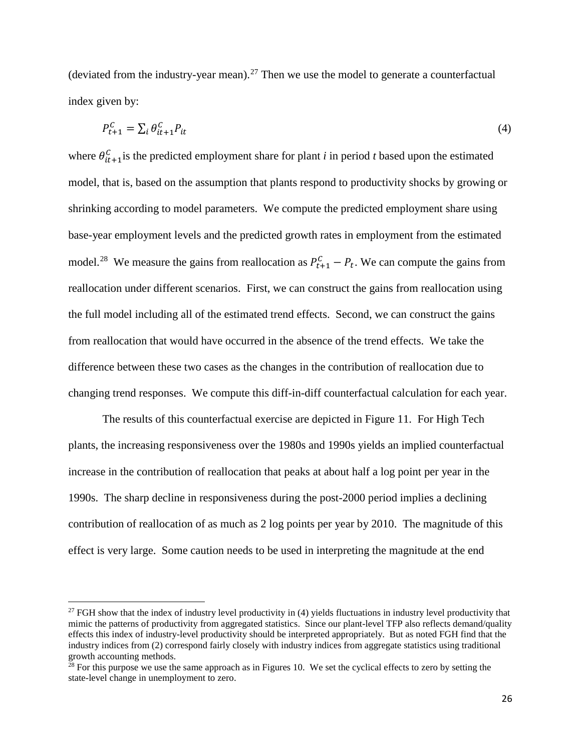(deviated from the industry-year mean).<sup>[27](#page-25-0)</sup> Then we use the model to generate a counterfactual index given by:

$$
P_{t+1}^C = \sum_i \theta_{it+1}^C P_{it} \tag{4}
$$

where  $\theta_{it+1}^C$  is the predicted employment share for plant *i* in period *t* based upon the estimated model, that is, based on the assumption that plants respond to productivity shocks by growing or shrinking according to model parameters. We compute the predicted employment share using base-year employment levels and the predicted growth rates in employment from the estimated model.<sup>[28](#page-25-1)</sup> We measure the gains from reallocation as  $P_{t+1}^C - P_t$ . We can compute the gains from reallocation under different scenarios. First, we can construct the gains from reallocation using the full model including all of the estimated trend effects. Second, we can construct the gains from reallocation that would have occurred in the absence of the trend effects. We take the difference between these two cases as the changes in the contribution of reallocation due to changing trend responses. We compute this diff-in-diff counterfactual calculation for each year.

The results of this counterfactual exercise are depicted in Figure 11. For High Tech plants, the increasing responsiveness over the 1980s and 1990s yields an implied counterfactual increase in the contribution of reallocation that peaks at about half a log point per year in the 1990s. The sharp decline in responsiveness during the post-2000 period implies a declining contribution of reallocation of as much as 2 log points per year by 2010. The magnitude of this effect is very large. Some caution needs to be used in interpreting the magnitude at the end

<span id="page-25-0"></span> $27$  FGH show that the index of industry level productivity in (4) yields fluctuations in industry level productivity that mimic the patterns of productivity from aggregated statistics. Since our plant-level TFP also reflects demand/quality effects this index of industry-level productivity should be interpreted appropriately. But as noted FGH find that the industry indices from (2) correspond fairly closely with industry indices from aggregate statistics using traditional growth accounting methods.

<span id="page-25-1"></span> $2<sup>28</sup>$  For this purpose we use the same approach as in Figures 10. We set the cyclical effects to zero by setting the state-level change in unemployment to zero.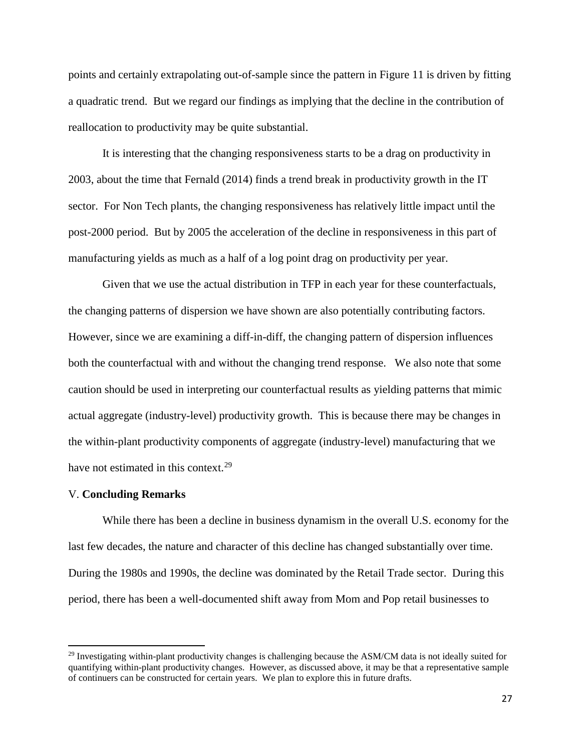points and certainly extrapolating out-of-sample since the pattern in Figure 11 is driven by fitting a quadratic trend. But we regard our findings as implying that the decline in the contribution of reallocation to productivity may be quite substantial.

It is interesting that the changing responsiveness starts to be a drag on productivity in 2003, about the time that Fernald (2014) finds a trend break in productivity growth in the IT sector. For Non Tech plants, the changing responsiveness has relatively little impact until the post-2000 period. But by 2005 the acceleration of the decline in responsiveness in this part of manufacturing yields as much as a half of a log point drag on productivity per year.

Given that we use the actual distribution in TFP in each year for these counterfactuals, the changing patterns of dispersion we have shown are also potentially contributing factors. However, since we are examining a diff-in-diff, the changing pattern of dispersion influences both the counterfactual with and without the changing trend response. We also note that some caution should be used in interpreting our counterfactual results as yielding patterns that mimic actual aggregate (industry-level) productivity growth. This is because there may be changes in the within-plant productivity components of aggregate (industry-level) manufacturing that we have not estimated in this context.<sup>29</sup>

#### V. **Concluding Remarks**

 $\overline{\phantom{a}}$ 

While there has been a decline in business dynamism in the overall U.S. economy for the last few decades, the nature and character of this decline has changed substantially over time. During the 1980s and 1990s, the decline was dominated by the Retail Trade sector. During this period, there has been a well-documented shift away from Mom and Pop retail businesses to

<span id="page-26-0"></span> $^{29}$  Investigating within-plant productivity changes is challenging because the ASM/CM data is not ideally suited for quantifying within-plant productivity changes. However, as discussed above, it may be that a representative sample of continuers can be constructed for certain years. We plan to explore this in future drafts.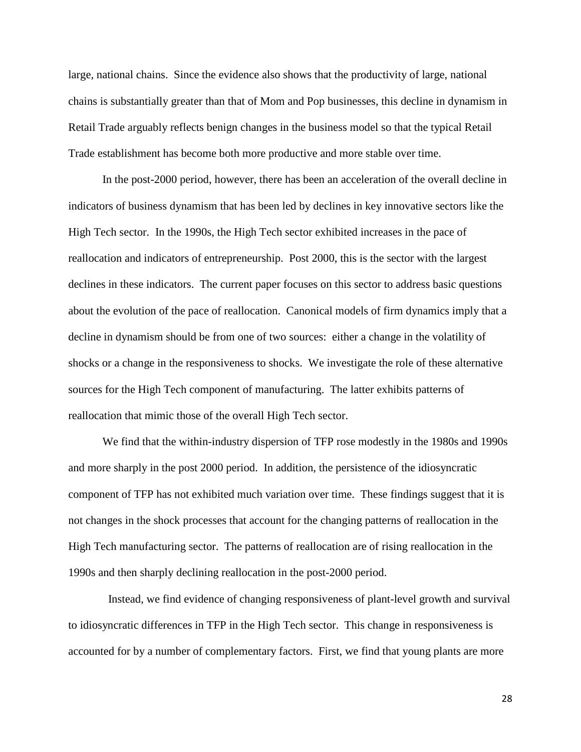large, national chains. Since the evidence also shows that the productivity of large, national chains is substantially greater than that of Mom and Pop businesses, this decline in dynamism in Retail Trade arguably reflects benign changes in the business model so that the typical Retail Trade establishment has become both more productive and more stable over time.

In the post-2000 period, however, there has been an acceleration of the overall decline in indicators of business dynamism that has been led by declines in key innovative sectors like the High Tech sector. In the 1990s, the High Tech sector exhibited increases in the pace of reallocation and indicators of entrepreneurship. Post 2000, this is the sector with the largest declines in these indicators. The current paper focuses on this sector to address basic questions about the evolution of the pace of reallocation. Canonical models of firm dynamics imply that a decline in dynamism should be from one of two sources: either a change in the volatility of shocks or a change in the responsiveness to shocks. We investigate the role of these alternative sources for the High Tech component of manufacturing. The latter exhibits patterns of reallocation that mimic those of the overall High Tech sector.

We find that the within-industry dispersion of TFP rose modestly in the 1980s and 1990s and more sharply in the post 2000 period. In addition, the persistence of the idiosyncratic component of TFP has not exhibited much variation over time. These findings suggest that it is not changes in the shock processes that account for the changing patterns of reallocation in the High Tech manufacturing sector. The patterns of reallocation are of rising reallocation in the 1990s and then sharply declining reallocation in the post-2000 period.

 Instead, we find evidence of changing responsiveness of plant-level growth and survival to idiosyncratic differences in TFP in the High Tech sector. This change in responsiveness is accounted for by a number of complementary factors. First, we find that young plants are more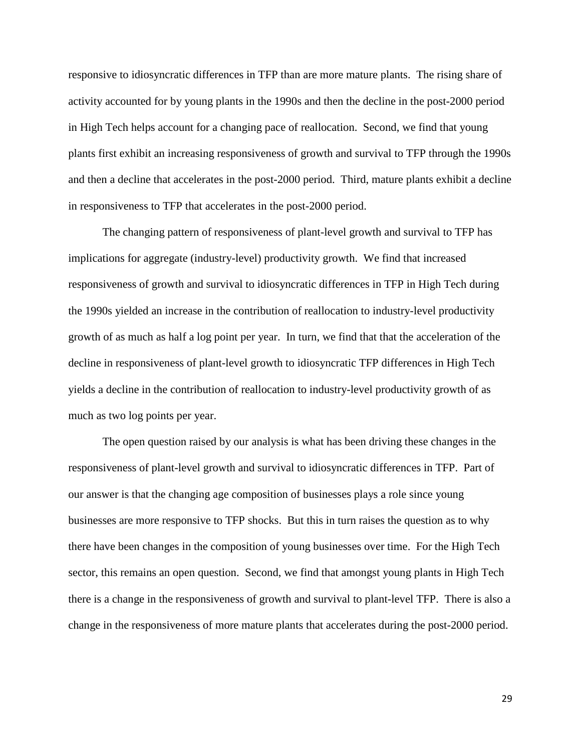responsive to idiosyncratic differences in TFP than are more mature plants. The rising share of activity accounted for by young plants in the 1990s and then the decline in the post-2000 period in High Tech helps account for a changing pace of reallocation. Second, we find that young plants first exhibit an increasing responsiveness of growth and survival to TFP through the 1990s and then a decline that accelerates in the post-2000 period. Third, mature plants exhibit a decline in responsiveness to TFP that accelerates in the post-2000 period.

The changing pattern of responsiveness of plant-level growth and survival to TFP has implications for aggregate (industry-level) productivity growth. We find that increased responsiveness of growth and survival to idiosyncratic differences in TFP in High Tech during the 1990s yielded an increase in the contribution of reallocation to industry-level productivity growth of as much as half a log point per year. In turn, we find that that the acceleration of the decline in responsiveness of plant-level growth to idiosyncratic TFP differences in High Tech yields a decline in the contribution of reallocation to industry-level productivity growth of as much as two log points per year.

The open question raised by our analysis is what has been driving these changes in the responsiveness of plant-level growth and survival to idiosyncratic differences in TFP. Part of our answer is that the changing age composition of businesses plays a role since young businesses are more responsive to TFP shocks. But this in turn raises the question as to why there have been changes in the composition of young businesses over time. For the High Tech sector, this remains an open question. Second, we find that amongst young plants in High Tech there is a change in the responsiveness of growth and survival to plant-level TFP. There is also a change in the responsiveness of more mature plants that accelerates during the post-2000 period.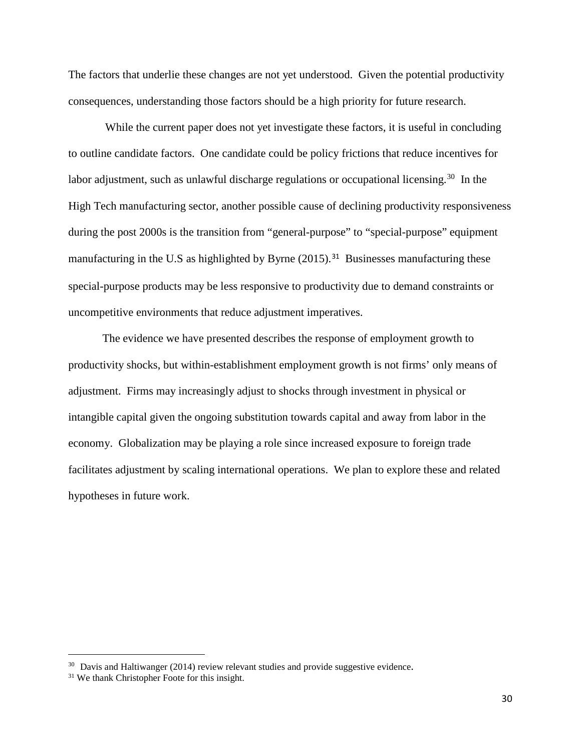The factors that underlie these changes are not yet understood. Given the potential productivity consequences, understanding those factors should be a high priority for future research.

While the current paper does not yet investigate these factors, it is useful in concluding to outline candidate factors. One candidate could be policy frictions that reduce incentives for labor adjustment, such as unlawful discharge regulations or occupational licensing.<sup>[30](#page-29-0)</sup> In the High Tech manufacturing sector, another possible cause of declining productivity responsiveness during the post 2000s is the transition from "general-purpose" to "special-purpose" equipment manufacturing in the U.S as highlighted by Byrne (2015).<sup>[31](#page-29-1)</sup> Businesses manufacturing these special-purpose products may be less responsive to productivity due to demand constraints or uncompetitive environments that reduce adjustment imperatives.

The evidence we have presented describes the response of employment growth to productivity shocks, but within-establishment employment growth is not firms' only means of adjustment. Firms may increasingly adjust to shocks through investment in physical or intangible capital given the ongoing substitution towards capital and away from labor in the economy. Globalization may be playing a role since increased exposure to foreign trade facilitates adjustment by scaling international operations. We plan to explore these and related hypotheses in future work.

<span id="page-29-1"></span><span id="page-29-0"></span> $30$  Davis and Haltiwanger (2014) review relevant studies and provide suggestive evidence.  $31$  We thank Christopher Foote for this insight.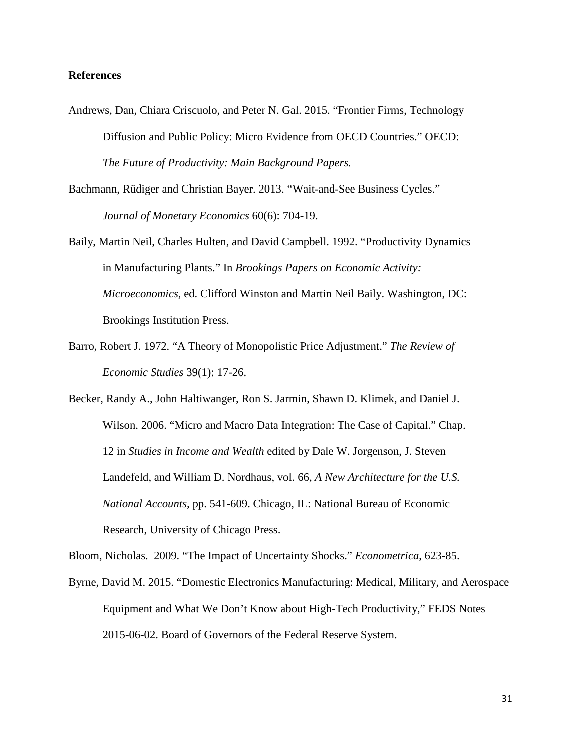### **References**

- Andrews, Dan, Chiara Criscuolo, and Peter N. Gal. 2015. "Frontier Firms, Technology Diffusion and Public Policy: Micro Evidence from OECD Countries." OECD: *The Future of Productivity: Main Background Papers.*
- Bachmann, Rüdiger and Christian Bayer. 2013. "Wait-and-See Business Cycles." *Journal of Monetary Economics* 60(6): 704-19.
- Baily, Martin Neil, Charles Hulten, and David Campbell. 1992. "Productivity Dynamics in Manufacturing Plants." In *Brookings Papers on Economic Activity: Microeconomics*, ed. Clifford Winston and Martin Neil Baily. Washington, DC: Brookings Institution Press.
- Barro, Robert J. 1972. "A Theory of Monopolistic Price Adjustment." *The Review of Economic Studies* 39(1): 17-26.
- Becker, Randy A., John Haltiwanger, Ron S. Jarmin, Shawn D. Klimek, and Daniel J. Wilson. 2006. "Micro and Macro Data Integration: The Case of Capital." Chap. 12 in *Studies in Income and Wealth* edited by Dale W. Jorgenson, J. Steven Landefeld, and William D. Nordhaus, vol. 66, *A New Architecture for the U.S. National Accounts,* pp. 541-609. Chicago, IL: National Bureau of Economic Research, University of Chicago Press.

Bloom, Nicholas. 2009. "The Impact of Uncertainty Shocks." *Econometrica*, 623-85.

Byrne, David M. 2015. "Domestic Electronics Manufacturing: Medical, Military, and Aerospace Equipment and What We Don't Know about High-Tech Productivity," FEDS Notes 2015-06-02. Board of Governors of the Federal Reserve System.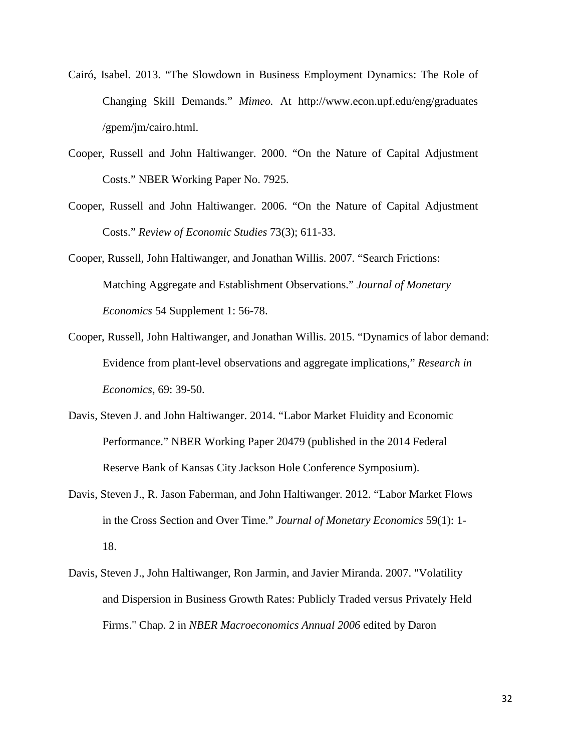- Cairó, Isabel. 2013. "The Slowdown in Business Employment Dynamics: The Role of Changing Skill Demands." *Mimeo.* At http://www.econ.upf.edu/eng/graduates /gpem/jm/cairo.html.
- Cooper, Russell and John Haltiwanger. 2000. "On the Nature of Capital Adjustment Costs." NBER Working Paper No. 7925.
- Cooper, Russell and John Haltiwanger. 2006. "On the Nature of Capital Adjustment Costs." *Review of Economic Studies* 73(3); 611-33.
- Cooper, Russell, John Haltiwanger, and Jonathan Willis. 2007. "Search Frictions: Matching Aggregate and Establishment Observations." *Journal of Monetary Economics* 54 Supplement 1: 56-78.
- Cooper, Russell, John Haltiwanger, and Jonathan Willis. 2015. "Dynamics of labor demand: Evidence from plant-level observations and aggregate implications," *Research in Economics*, 69: 39-50.
- Davis, Steven J. and John Haltiwanger. 2014. "Labor Market Fluidity and Economic Performance." NBER Working Paper 20479 (published in the 2014 Federal Reserve Bank of Kansas City Jackson Hole Conference Symposium).
- Davis, Steven J., R. Jason Faberman, and John Haltiwanger. 2012. "Labor Market Flows in the Cross Section and Over Time." *Journal of Monetary Economics* 59(1): 1- 18.
- Davis, Steven J., John Haltiwanger, Ron Jarmin, and Javier Miranda. 2007. "Volatility and Dispersion in Business Growth Rates: Publicly Traded versus Privately Held Firms." Chap. 2 in *NBER Macroeconomics Annual 2006* edited by Daron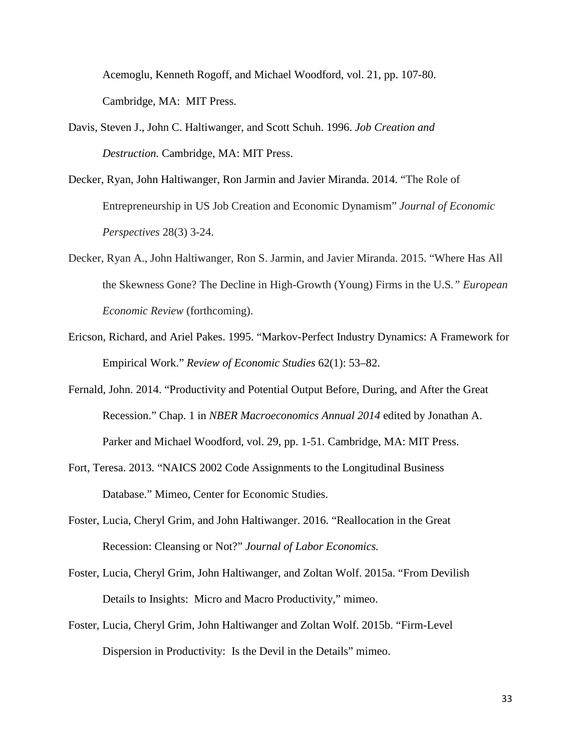Acemoglu, Kenneth Rogoff, and Michael Woodford, vol. 21, pp. 107-80. Cambridge, MA: MIT Press.

- Davis, Steven J., John C. Haltiwanger, and Scott Schuh. 1996. *Job Creation and Destruction.* Cambridge, MA: MIT Press.
- Decker, Ryan, John Haltiwanger, Ron Jarmin and Javier Miranda. 2014. "The Role of Entrepreneurship in US Job Creation and Economic Dynamism" *Journal of Economic Perspectives* 28(3) 3-24.
- Decker, Ryan A., John Haltiwanger, Ron S. Jarmin, and Javier Miranda. 2015. "Where Has All the Skewness Gone? The Decline in High-Growth (Young) Firms in the U.S*." European Economic Review* (forthcoming).
- Ericson, Richard, and Ariel Pakes. 1995. "Markov-Perfect Industry Dynamics: A Framework for Empirical Work." *Review of Economic Studies* 62(1): 53–82.
- Fernald, John. 2014. "Productivity and Potential Output Before, During, and After the Great Recession." Chap. 1 in *NBER Macroeconomics Annual 2014* edited by Jonathan A. Parker and Michael Woodford, vol. 29, pp. 1-51. Cambridge, MA: MIT Press.
- Fort, Teresa. 2013. "NAICS 2002 Code Assignments to the Longitudinal Business Database." Mimeo, Center for Economic Studies.
- Foster, Lucia, Cheryl Grim, and John Haltiwanger. 2016. "Reallocation in the Great Recession: Cleansing or Not?" *Journal of Labor Economics.*
- Foster, Lucia, Cheryl Grim, John Haltiwanger, and Zoltan Wolf. 2015a. "From Devilish Details to Insights: Micro and Macro Productivity," mimeo.
- Foster, Lucia, Cheryl Grim, John Haltiwanger and Zoltan Wolf. 2015b. "Firm-Level Dispersion in Productivity: Is the Devil in the Details" mimeo.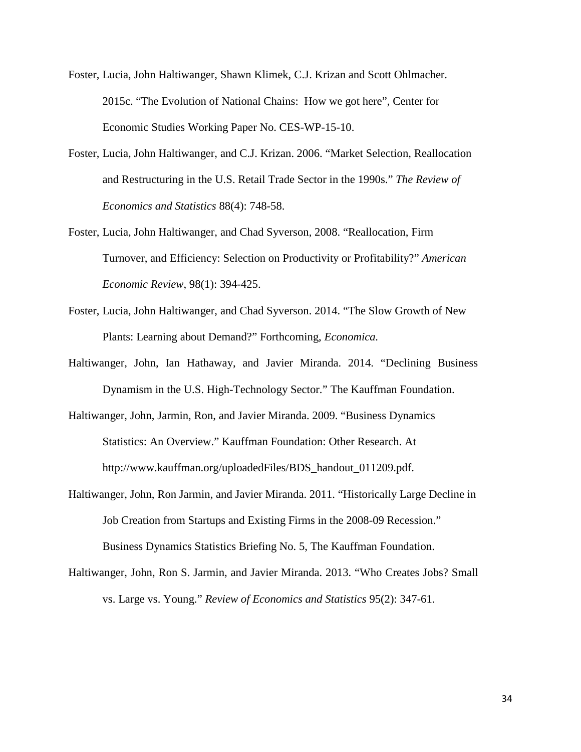- Foster, Lucia, John Haltiwanger, Shawn Klimek, C.J. Krizan and Scott Ohlmacher. 2015c. "The Evolution of National Chains: How we got here", Center for Economic Studies Working Paper No. CES-WP-15-10.
- Foster, Lucia, John Haltiwanger, and C.J. Krizan. 2006. "Market Selection, Reallocation and Restructuring in the U.S. Retail Trade Sector in the 1990s." *The Review of Economics and Statistics* 88(4): 748-58.
- Foster, Lucia, John Haltiwanger, and Chad Syverson, 2008. "Reallocation, Firm Turnover, and Efficiency: Selection on Productivity or Profitability?" *American Economic Review*, 98(1): 394-425.
- Foster, Lucia, John Haltiwanger, and Chad Syverson. 2014. "The Slow Growth of New Plants: Learning about Demand?" Forthcoming, *Economica.*
- Haltiwanger, John, Ian Hathaway, and Javier Miranda. 2014. "Declining Business Dynamism in the U.S. High-Technology Sector." The Kauffman Foundation.
- Haltiwanger, John, Jarmin, Ron, and Javier Miranda. 2009. "Business Dynamics Statistics: An Overview." Kauffman Foundation: Other Research. At http://www.kauffman.org/uploadedFiles/BDS\_handout\_011209.pdf.
- Haltiwanger, John, Ron Jarmin, and Javier Miranda. 2011. "Historically Large Decline in Job Creation from Startups and Existing Firms in the 2008-09 Recession." Business Dynamics Statistics Briefing No. 5, The Kauffman Foundation.
- Haltiwanger, John, Ron S. Jarmin, and Javier Miranda. 2013. "Who Creates Jobs? Small vs. Large vs. Young." *Review of Economics and Statistics* 95(2): 347-61.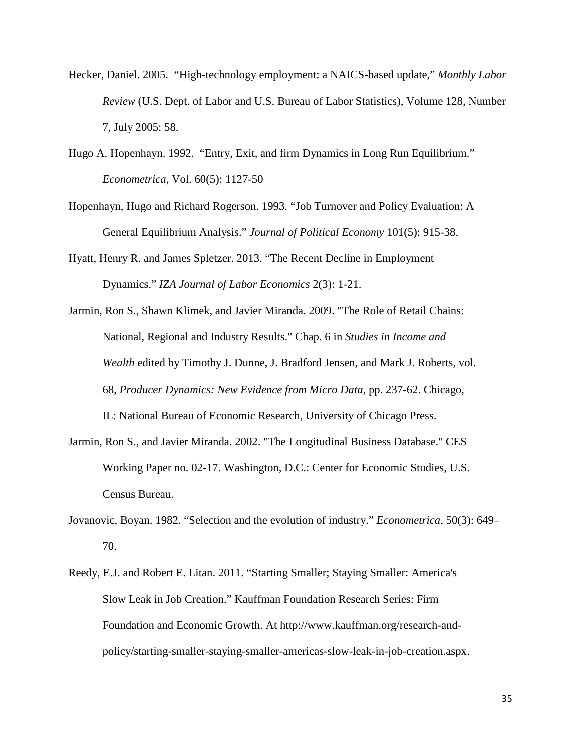- Hecker, Daniel. 2005. "High-technology employment: a NAICS-based update," *Monthly Labor Review* (U.S. Dept. of Labor and U.S. Bureau of Labor Statistics), Volume 128, Number 7, July 2005: 58.
- Hugo A. Hopenhayn. 1992. "Entry, Exit, and firm Dynamics in Long Run Equilibrium." *Econometrica*, Vol. 60(5): 1127-50
- Hopenhayn, Hugo and Richard Rogerson. 1993. "Job Turnover and Policy Evaluation: A General Equilibrium Analysis." *Journal of Political Economy* 101(5): 915-38.
- Hyatt, Henry R. and James Spletzer. 2013. "The Recent Decline in Employment Dynamics." *IZA Journal of Labor Economics* 2(3): 1-21.
- Jarmin, Ron S., Shawn Klimek, and Javier Miranda. 2009. "The Role of Retail Chains: National, Regional and Industry Results." Chap. 6 in *Studies in Income and Wealth* edited by Timothy J. Dunne, J. Bradford Jensen, and Mark J. Roberts, vol. 68, *Producer Dynamics: New Evidence from Micro Data,* pp. 237-62. Chicago, IL: National Bureau of Economic Research, University of Chicago Press.
- Jarmin, Ron S., and Javier Miranda. 2002. "The Longitudinal Business Database." CES Working Paper no. 02-17. Washington, D.C.: Center for Economic Studies, U.S. Census Bureau.
- Jovanovic, Boyan. 1982. "Selection and the evolution of industry." *Econometrica*, 50(3): 649– 70.
- Reedy, E.J. and Robert E. Litan. 2011. "Starting Smaller; Staying Smaller: America's Slow Leak in Job Creation." Kauffman Foundation Research Series: Firm Foundation and Economic Growth. At http://www.kauffman.org/research-andpolicy/starting-smaller-staying-smaller-americas-slow-leak-in-job-creation.aspx.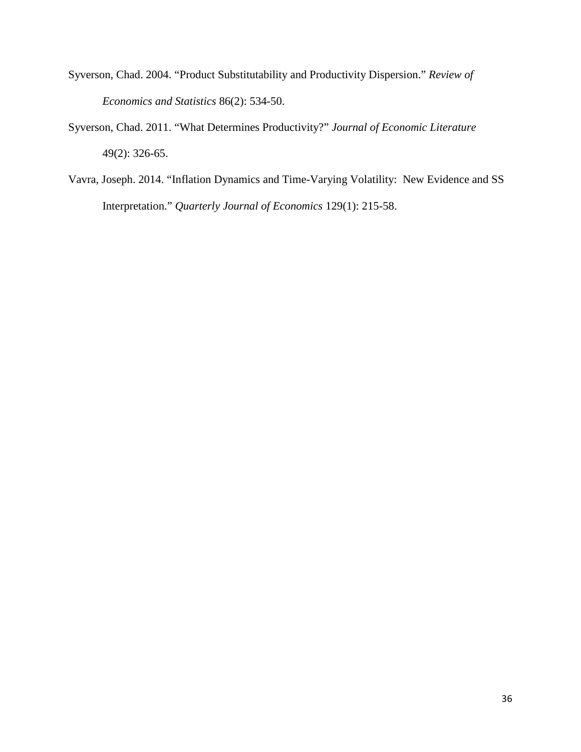- Syverson, Chad. 2004. "Product Substitutability and Productivity Dispersion." *Review of Economics and Statistics* 86(2): 534-50.
- Syverson, Chad. 2011. "What Determines Productivity?" *Journal of Economic Literature* 49(2): 326-65.
- Vavra, Joseph. 2014. "Inflation Dynamics and Time-Varying Volatility: New Evidence and SS Interpretation." *Quarterly Journal of Economics* 129(1): 215-58.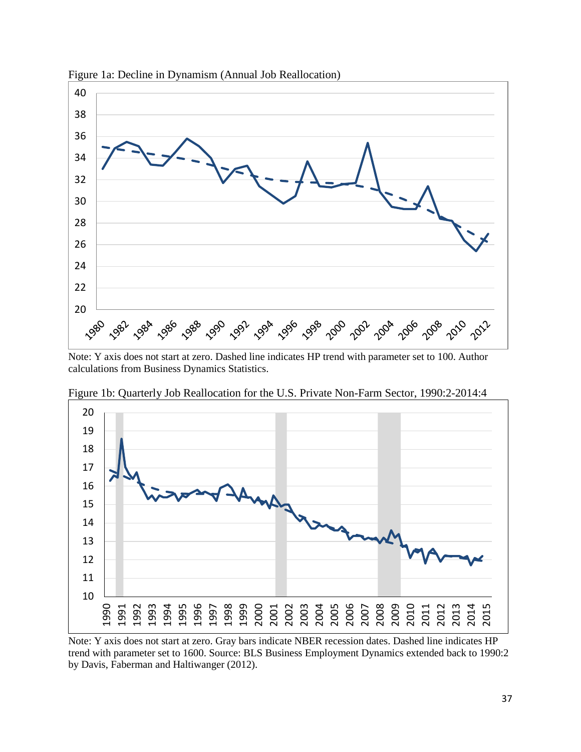

Figure 1a: Decline in Dynamism (Annual Job Reallocation)

Note: Y axis does not start at zero. Dashed line indicates HP trend with parameter set to 100. Author calculations from Business Dynamics Statistics.



Figure 1b: Quarterly Job Reallocation for the U.S. Private Non-Farm Sector, 1990:2-2014:4

Note: Y axis does not start at zero. Gray bars indicate NBER recession dates. Dashed line indicates HP trend with parameter set to 1600. Source: BLS Business Employment Dynamics extended back to 1990:2 by Davis, Faberman and Haltiwanger (2012).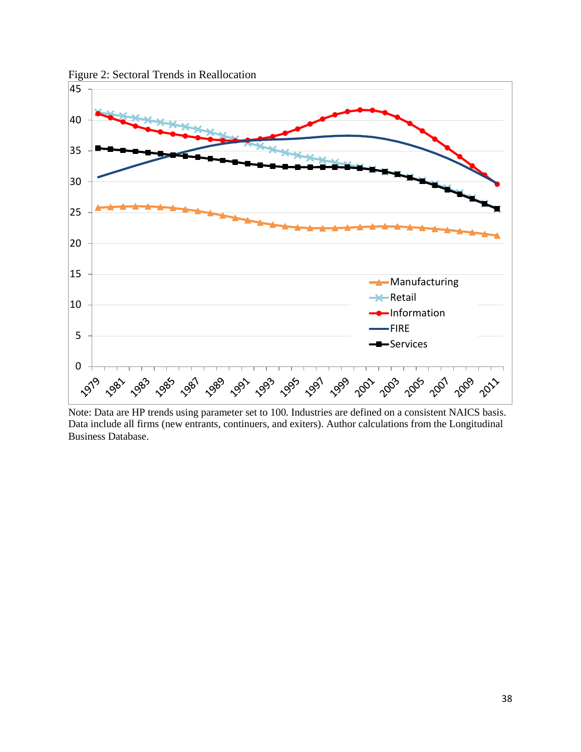

Figure 2: Sectoral Trends in Reallocation

Note: Data are HP trends using parameter set to 100. Industries are defined on a consistent NAICS basis. Data include all firms (new entrants, continuers, and exiters). Author calculations from the Longitudinal Business Database.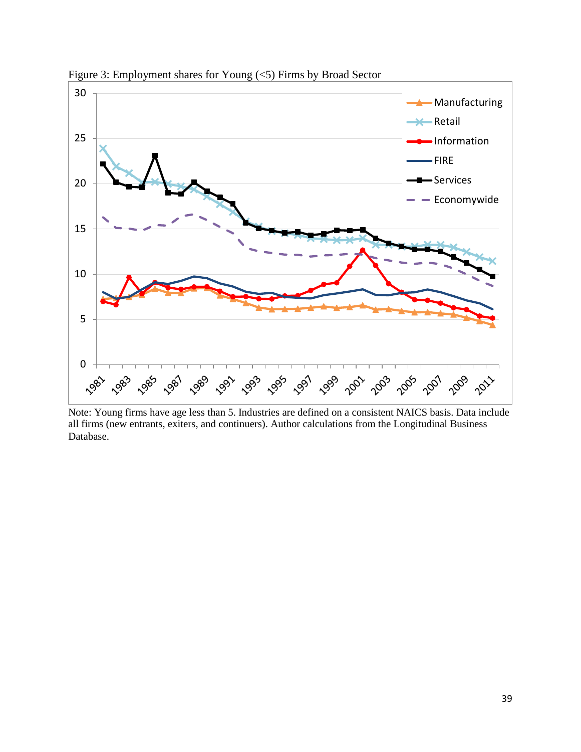

Figure 3: Employment shares for Young (<5) Firms by Broad Sector

Note: Young firms have age less than 5. Industries are defined on a consistent NAICS basis. Data include all firms (new entrants, exiters, and continuers). Author calculations from the Longitudinal Business Database.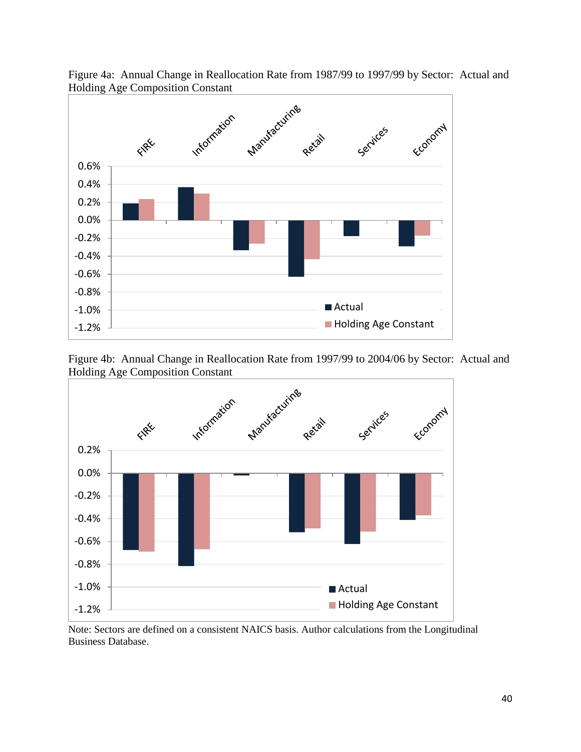

Figure 4a: Annual Change in Reallocation Rate from 1987/99 to 1997/99 by Sector: Actual and Holding Age Composition Constant





Note: Sectors are defined on a consistent NAICS basis. Author calculations from the Longitudinal Business Database.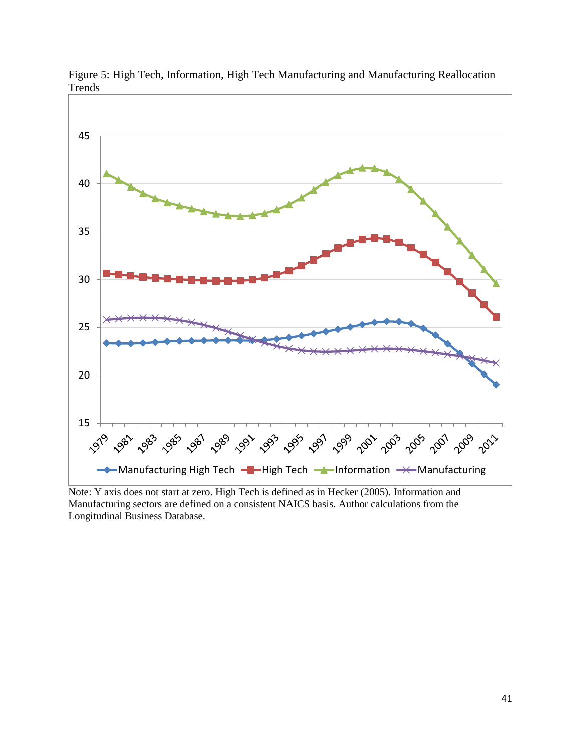

Figure 5: High Tech, Information, High Tech Manufacturing and Manufacturing Reallocation Trends

Note: Y axis does not start at zero. High Tech is defined as in Hecker (2005). Information and Manufacturing sectors are defined on a consistent NAICS basis. Author calculations from the Longitudinal Business Database.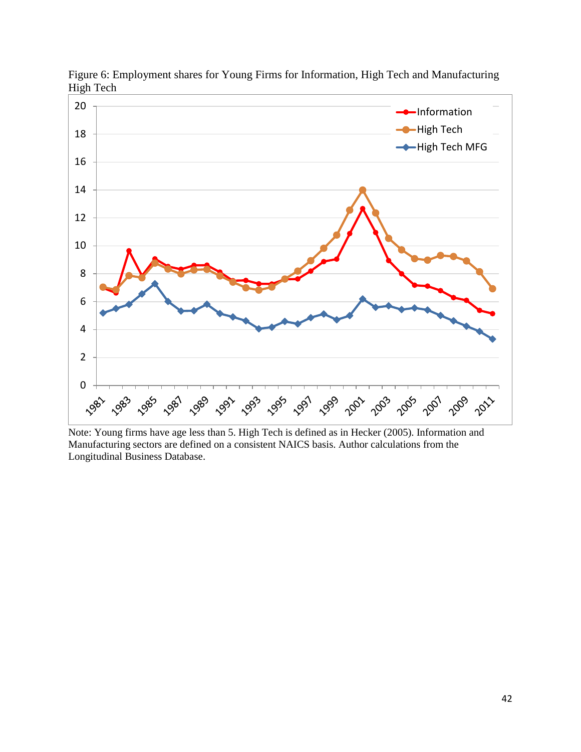

Figure 6: Employment shares for Young Firms for Information, High Tech and Manufacturing High Tech

Note: Young firms have age less than 5. High Tech is defined as in Hecker (2005). Information and Manufacturing sectors are defined on a consistent NAICS basis. Author calculations from the Longitudinal Business Database.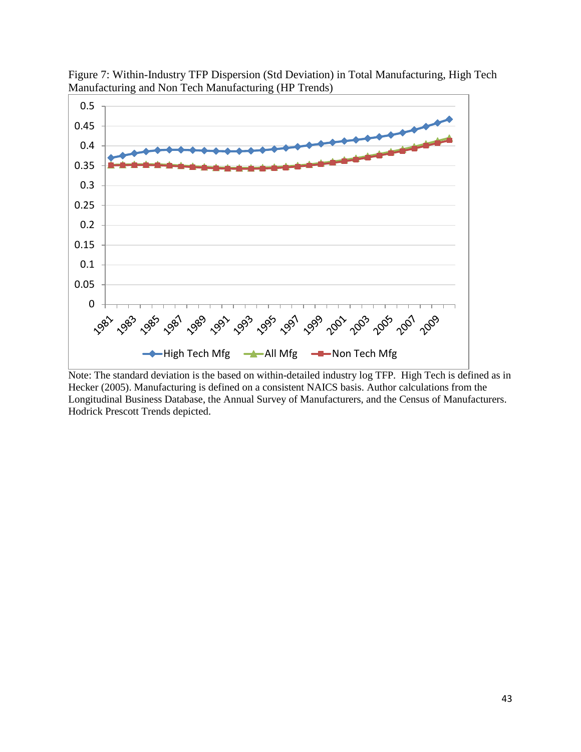

Figure 7: Within-Industry TFP Dispersion (Std Deviation) in Total Manufacturing, High Tech Manufacturing and Non Tech Manufacturing (HP Trends)

Note: The standard deviation is the based on within-detailed industry log TFP. High Tech is defined as in Hecker (2005). Manufacturing is defined on a consistent NAICS basis. Author calculations from the Longitudinal Business Database, the Annual Survey of Manufacturers, and the Census of Manufacturers. Hodrick Prescott Trends depicted.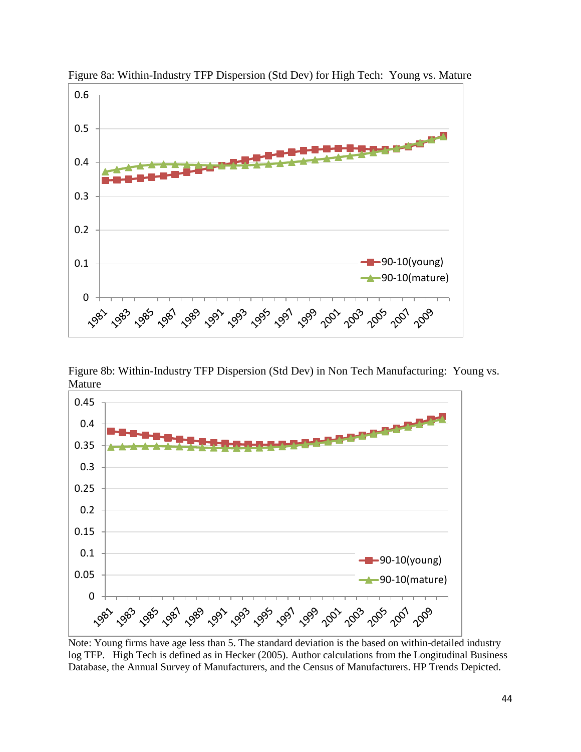

Figure 8a: Within-Industry TFP Dispersion (Std Dev) for High Tech: Young vs. Mature

Figure 8b: Within-Industry TFP Dispersion (Std Dev) in Non Tech Manufacturing: Young vs. Mature



Note: Young firms have age less than 5. The standard deviation is the based on within-detailed industry log TFP. High Tech is defined as in Hecker (2005). Author calculations from the Longitudinal Business Database, the Annual Survey of Manufacturers, and the Census of Manufacturers. HP Trends Depicted.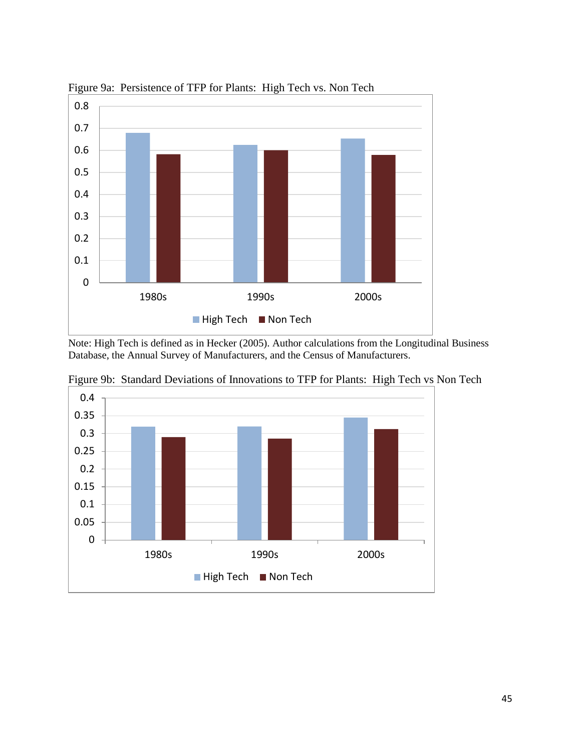

Figure 9a: Persistence of TFP for Plants: High Tech vs. Non Tech

Note: High Tech is defined as in Hecker (2005). Author calculations from the Longitudinal Business Database, the Annual Survey of Manufacturers, and the Census of Manufacturers.



Figure 9b: Standard Deviations of Innovations to TFP for Plants: High Tech vs Non Tech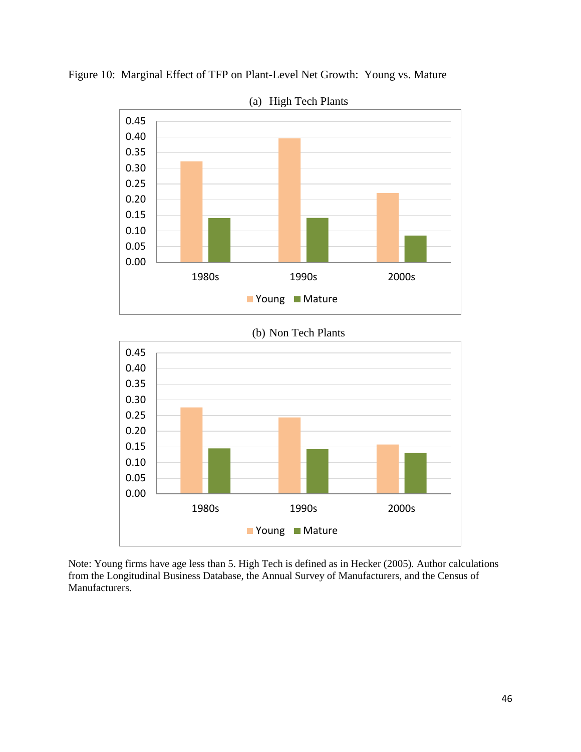

Figure 10: Marginal Effect of TFP on Plant-Level Net Growth: Young vs. Mature

(a) High Tech Plants

Note: Young firms have age less than 5. High Tech is defined as in Hecker (2005). Author calculations from the Longitudinal Business Database, the Annual Survey of Manufacturers, and the Census of Manufacturers.

1980s 1990s 2000s

**N**Young **Mature** 

0.00 0.05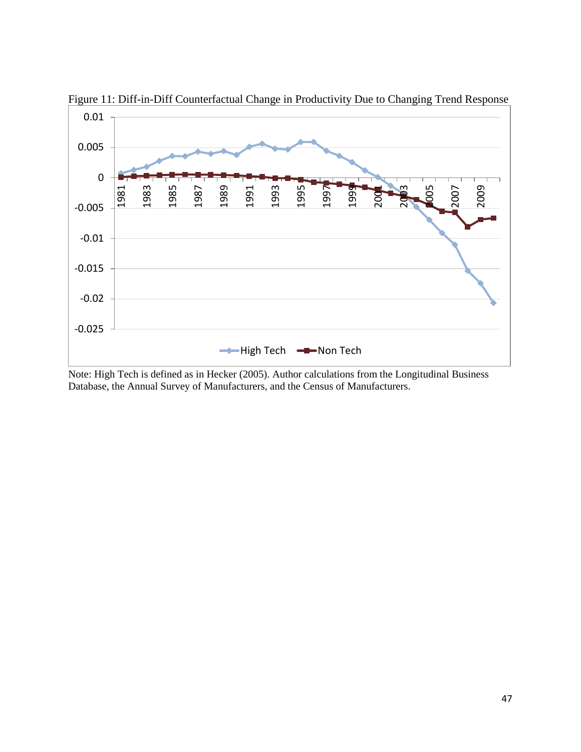

Figure 11: Diff-in-Diff Counterfactual Change in Productivity Due to Changing Trend Response

Note: High Tech is defined as in Hecker (2005). Author calculations from the Longitudinal Business Database, the Annual Survey of Manufacturers, and the Census of Manufacturers.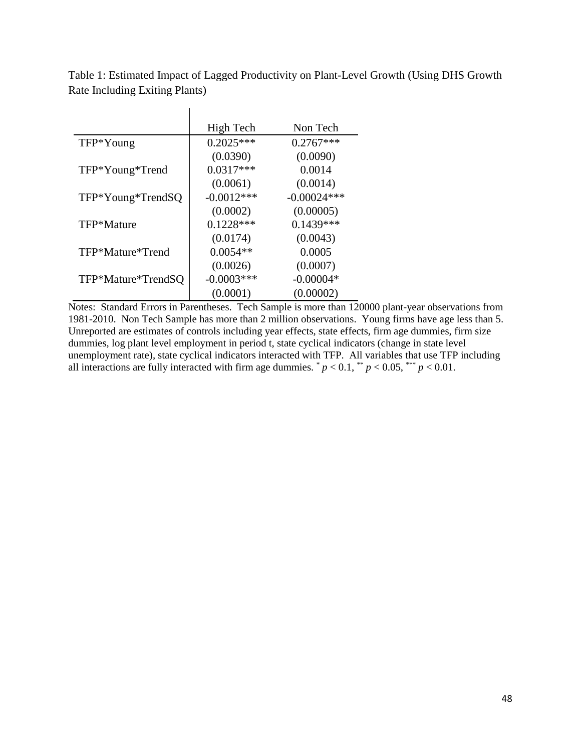Table 1: Estimated Impact of Lagged Productivity on Plant-Level Growth (Using DHS Growth Rate Including Exiting Plants)

|                    | High Tech    | Non Tech      |
|--------------------|--------------|---------------|
| TFP*Young          | $0.2025***$  | $0.2767***$   |
|                    | (0.0390)     | (0.0090)      |
| TFP*Young*Trend    | $0.0317***$  | 0.0014        |
|                    | (0.0061)     | (0.0014)      |
| TFP*Young*TrendSQ  | $-0.0012***$ | $-0.00024***$ |
|                    | (0.0002)     | (0.00005)     |
| TFP*Mature         | $0.1228***$  | $0.1439***$   |
|                    | (0.0174)     | (0.0043)      |
| TFP*Mature*Trend   | $0.0054**$   | 0.0005        |
|                    | (0.0026)     | (0.0007)      |
| TFP*Mature*TrendSQ | $-0.0003***$ | $-0.00004*$   |
|                    | (0.0001)     | (0.00002)     |

 $\mathbf{I}$ 

Notes: Standard Errors in Parentheses. Tech Sample is more than 120000 plant-year observations from 1981-2010. Non Tech Sample has more than 2 million observations. Young firms have age less than 5. Unreported are estimates of controls including year effects, state effects, firm age dummies, firm size dummies, log plant level employment in period t, state cyclical indicators (change in state level unemployment rate), state cyclical indicators interacted with TFP. All variables that use TFP including all interactions are fully interacted with firm age dummies.  $p < 0.1$ ,  $\binom{4}{3} p < 0.05$ ,  $\binom{4}{3} p < 0.01$ .